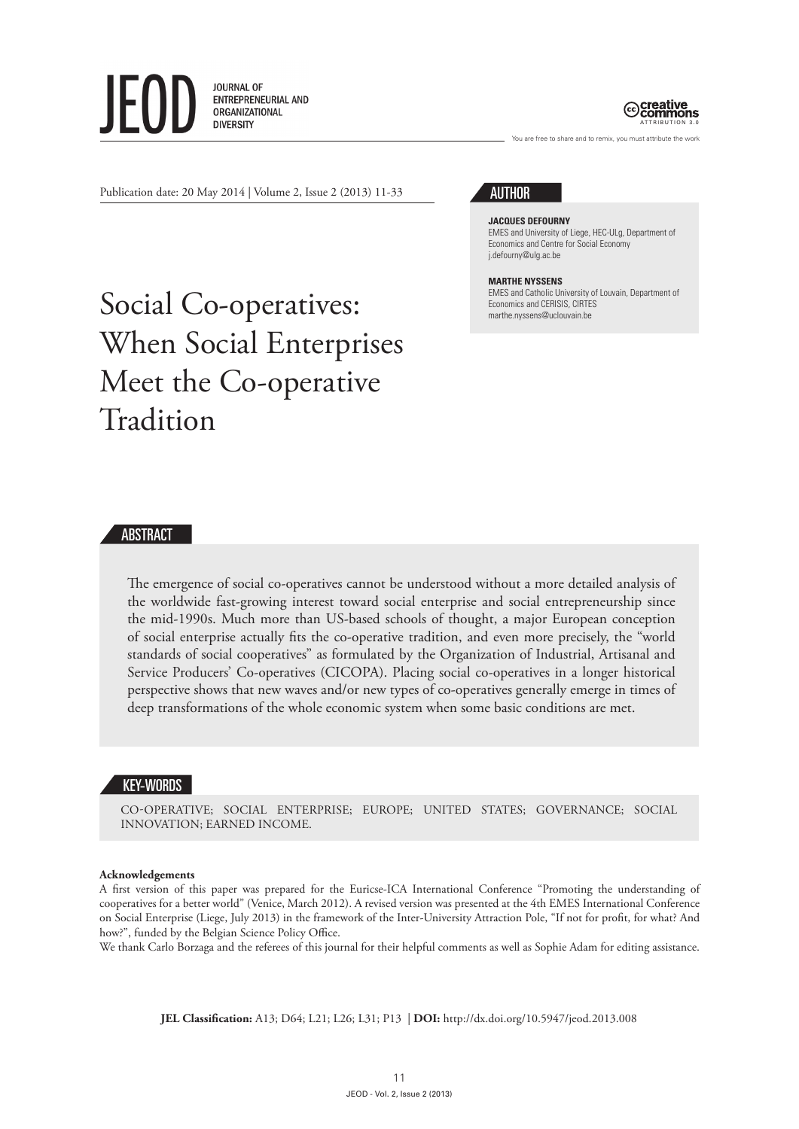**JOURNAL OF** ENTREPRENEURIAL AND ORGANIZATIONAL **DIVERSITY** 



You are free to share and to remix, you must attribute the work

Publication date: 20 May 2014 | Volume 2, Issue 2 (2013) 11-33

Social Co-operatives:

When Social Enterprises

Meet the Co-operative

# AUTHOR

**JACQUES DEFOURNY** EMES and University of Liege, HEC-ULg, Department of Economics and Centre for Social Economy j.defourny@ulg.ac.be

**MARTHE NYSSENS** EMES and Catholic University of Louvain, Department of Economics and CERISIS, CIRTES marthe.nyssens@uclouvain.be

# ABSTRACT

Tradition

The emergence of social co-operatives cannot be understood without a more detailed analysis of the worldwide fast-growing interest toward social enterprise and social entrepreneurship since the mid-1990s. Much more than US-based schools of thought, a major European conception of social enterprise actually fits the co-operative tradition, and even more precisely, the "world standards of social cooperatives" as formulated by the Organization of Industrial, Artisanal and Service Producers' Co-operatives (CICOPA). Placing social co-operatives in a longer historical perspective shows that new waves and/or new types of co-operatives generally emerge in times of deep transformations of the whole economic system when some basic conditions are met.

#### KEY-WORDS

CO-OPERATIVE; SOCIAL ENTERPRISE; EUROPE; UNITED STATES; GOVERNANCE; SOCIAL INNOVATION; EARNED INCOME.

#### **Acknowledgements**

A first version of this paper was prepared for the Euricse-ICA International Conference "Promoting the understanding of cooperatives for a better world" (Venice, March 2012). A revised version was presented at the 4th EMES International Conference on Social Enterprise (Liege, July 2013) in the framework of the Inter-University Attraction Pole, "If not for profit, for what? And how?", funded by the Belgian Science Policy Office.

We thank Carlo Borzaga and the referees of this journal for their helpful comments as well as Sophie Adam for editing assistance.

**JEL Classification:** A13; D64; L21; L26; L31; P13 | **DOI:** http://dx.doi.org/10.5947/jeod.2013.008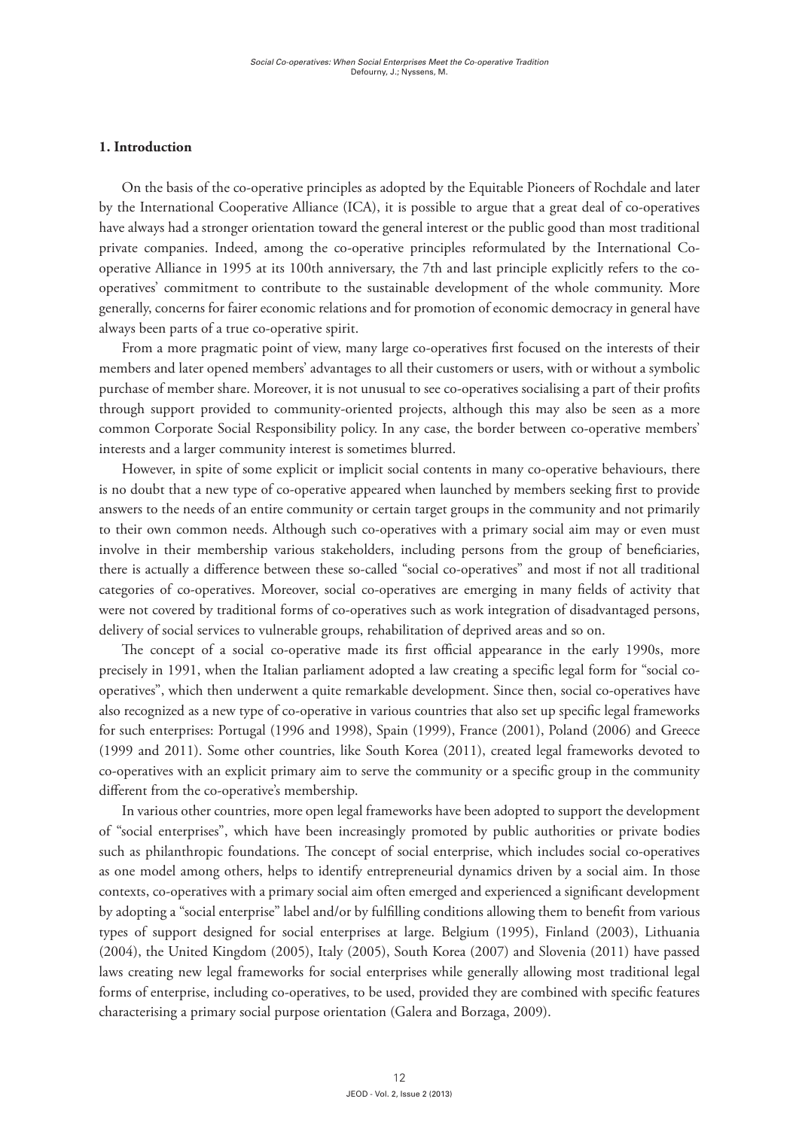#### **1. Introduction**

On the basis of the co-operative principles as adopted by the Equitable Pioneers of Rochdale and later by the International Cooperative Alliance (ICA), it is possible to argue that a great deal of co-operatives have always had a stronger orientation toward the general interest or the public good than most traditional private companies. Indeed, among the co-operative principles reformulated by the International Cooperative Alliance in 1995 at its 100th anniversary, the 7th and last principle explicitly refers to the cooperatives' commitment to contribute to the sustainable development of the whole community. More generally, concerns for fairer economic relations and for promotion of economic democracy in general have always been parts of a true co-operative spirit.

From a more pragmatic point of view, many large co-operatives first focused on the interests of their members and later opened members' advantages to all their customers or users, with or without a symbolic purchase of member share. Moreover, it is not unusual to see co-operatives socialising a part of their profits through support provided to community-oriented projects, although this may also be seen as a more common Corporate Social Responsibility policy. In any case, the border between co-operative members' interests and a larger community interest is sometimes blurred.

However, in spite of some explicit or implicit social contents in many co-operative behaviours, there is no doubt that a new type of co-operative appeared when launched by members seeking first to provide answers to the needs of an entire community or certain target groups in the community and not primarily to their own common needs. Although such co-operatives with a primary social aim may or even must involve in their membership various stakeholders, including persons from the group of beneficiaries, there is actually a difference between these so-called "social co-operatives" and most if not all traditional categories of co-operatives. Moreover, social co-operatives are emerging in many fields of activity that were not covered by traditional forms of co-operatives such as work integration of disadvantaged persons, delivery of social services to vulnerable groups, rehabilitation of deprived areas and so on.

The concept of a social co-operative made its first official appearance in the early 1990s, more precisely in 1991, when the Italian parliament adopted a law creating a specific legal form for "social cooperatives", which then underwent a quite remarkable development. Since then, social co-operatives have also recognized as a new type of co-operative in various countries that also set up specific legal frameworks for such enterprises: Portugal (1996 and 1998), Spain (1999), France (2001), Poland (2006) and Greece (1999 and 2011). Some other countries, like South Korea (2011), created legal frameworks devoted to co-operatives with an explicit primary aim to serve the community or a specific group in the community different from the co-operative's membership.

In various other countries, more open legal frameworks have been adopted to support the development of "social enterprises", which have been increasingly promoted by public authorities or private bodies such as philanthropic foundations. The concept of social enterprise, which includes social co-operatives as one model among others, helps to identify entrepreneurial dynamics driven by a social aim. In those contexts, co-operatives with a primary social aim often emerged and experienced a significant development by adopting a "social enterprise" label and/or by fulfilling conditions allowing them to benefit from various types of support designed for social enterprises at large. Belgium (1995), Finland (2003), Lithuania (2004), the United Kingdom (2005), Italy (2005), South Korea (2007) and Slovenia (2011) have passed laws creating new legal frameworks for social enterprises while generally allowing most traditional legal forms of enterprise, including co-operatives, to be used, provided they are combined with specific features characterising a primary social purpose orientation (Galera and Borzaga, 2009).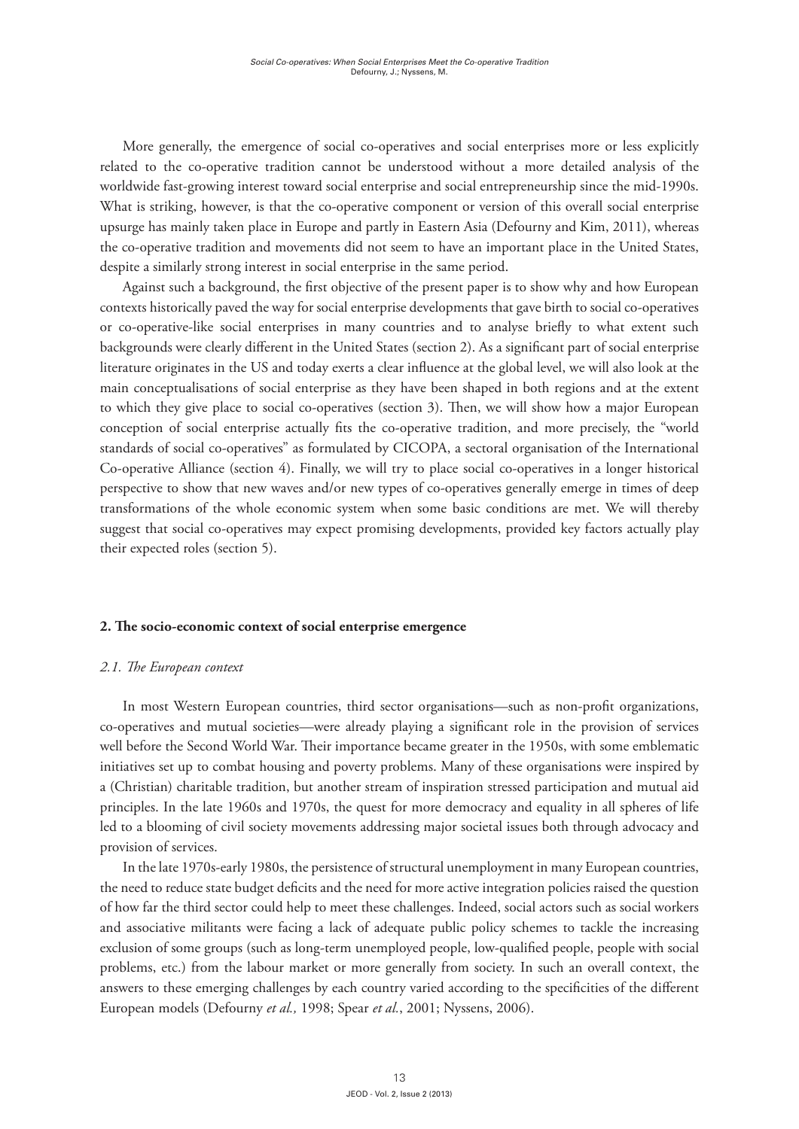More generally, the emergence of social co-operatives and social enterprises more or less explicitly related to the co-operative tradition cannot be understood without a more detailed analysis of the worldwide fast-growing interest toward social enterprise and social entrepreneurship since the mid-1990s. What is striking, however, is that the co-operative component or version of this overall social enterprise upsurge has mainly taken place in Europe and partly in Eastern Asia (Defourny and Kim, 2011), whereas the co-operative tradition and movements did not seem to have an important place in the United States, despite a similarly strong interest in social enterprise in the same period.

Against such a background, the first objective of the present paper is to show why and how European contexts historically paved the way for social enterprise developments that gave birth to social co-operatives or co-operative-like social enterprises in many countries and to analyse briefly to what extent such backgrounds were clearly different in the United States (section 2). As a significant part of social enterprise literature originates in the US and today exerts a clear influence at the global level, we will also look at the main conceptualisations of social enterprise as they have been shaped in both regions and at the extent to which they give place to social co-operatives (section 3). Then, we will show how a major European conception of social enterprise actually fits the co-operative tradition, and more precisely, the "world standards of social co-operatives" as formulated by CICOPA, a sectoral organisation of the International Co-operative Alliance (section 4). Finally, we will try to place social co-operatives in a longer historical perspective to show that new waves and/or new types of co-operatives generally emerge in times of deep transformations of the whole economic system when some basic conditions are met. We will thereby suggest that social co-operatives may expect promising developments, provided key factors actually play their expected roles (section 5).

#### **2. The socio-economic context of social enterprise emergence**

#### *2.1. The European context*

In most Western European countries, third sector organisations—such as non-profit organizations, co-operatives and mutual societies—were already playing a significant role in the provision of services well before the Second World War. Their importance became greater in the 1950s, with some emblematic initiatives set up to combat housing and poverty problems. Many of these organisations were inspired by a (Christian) charitable tradition, but another stream of inspiration stressed participation and mutual aid principles. In the late 1960s and 1970s, the quest for more democracy and equality in all spheres of life led to a blooming of civil society movements addressing major societal issues both through advocacy and provision of services.

In the late 1970s-early 1980s, the persistence of structural unemployment in many European countries, the need to reduce state budget deficits and the need for more active integration policies raised the question of how far the third sector could help to meet these challenges. Indeed, social actors such as social workers and associative militants were facing a lack of adequate public policy schemes to tackle the increasing exclusion of some groups (such as long-term unemployed people, low-qualified people, people with social problems, etc.) from the labour market or more generally from society. In such an overall context, the answers to these emerging challenges by each country varied according to the specificities of the different European models (Defourny *et al.,* 1998; Spear *et al.*, 2001; Nyssens, 2006).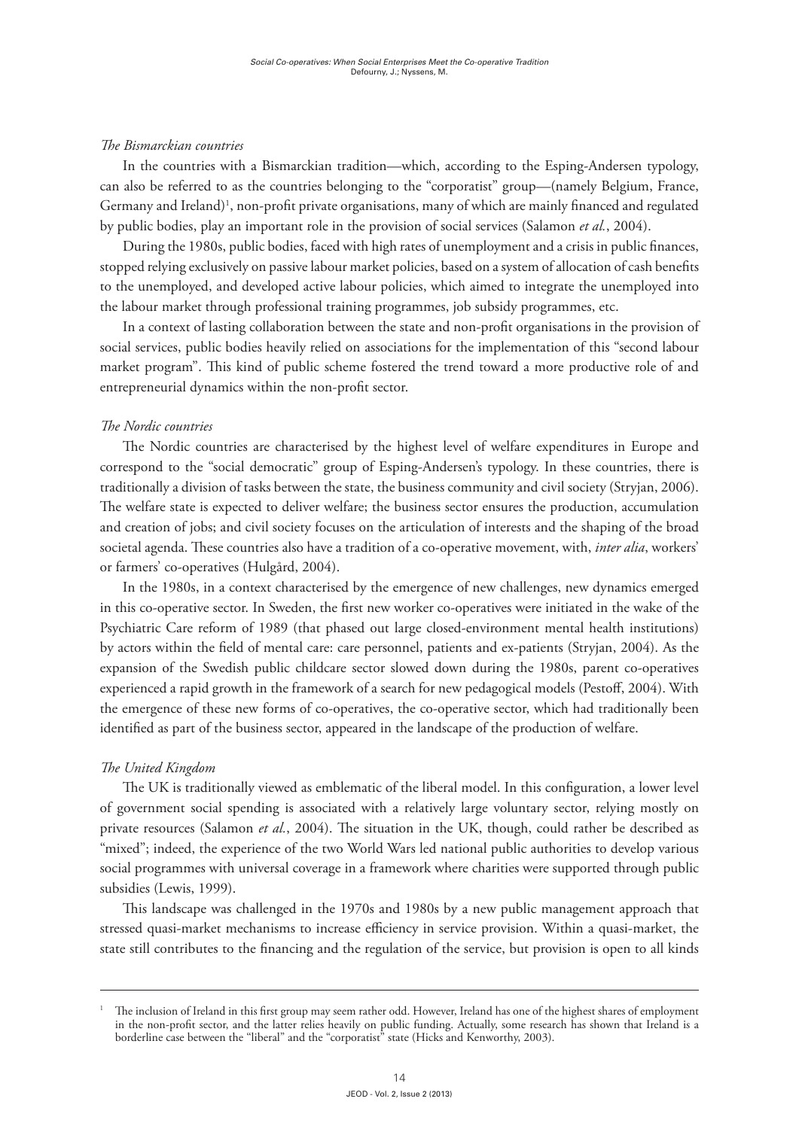# *The Bismarckian countries*

In the countries with a Bismarckian tradition—which, according to the Esping-Andersen typology, can also be referred to as the countries belonging to the "corporatist" group—(namely Belgium, France, Germany and Ireland)<sup>1</sup>, non-profit private organisations, many of which are mainly financed and regulated by public bodies, play an important role in the provision of social services (Salamon *et al.*, 2004).

During the 1980s, public bodies, faced with high rates of unemployment and a crisis in public finances, stopped relying exclusively on passive labour market policies, based on a system of allocation of cash benefits to the unemployed, and developed active labour policies, which aimed to integrate the unemployed into the labour market through professional training programmes, job subsidy programmes, etc.

In a context of lasting collaboration between the state and non-profit organisations in the provision of social services, public bodies heavily relied on associations for the implementation of this "second labour market program". This kind of public scheme fostered the trend toward a more productive role of and entrepreneurial dynamics within the non-profit sector.

# *The Nordic countries*

The Nordic countries are characterised by the highest level of welfare expenditures in Europe and correspond to the "social democratic" group of Esping-Andersen's typology. In these countries, there is traditionally a division of tasks between the state, the business community and civil society (Stryjan, 2006). The welfare state is expected to deliver welfare; the business sector ensures the production, accumulation and creation of jobs; and civil society focuses on the articulation of interests and the shaping of the broad societal agenda. These countries also have a tradition of a co-operative movement, with, *inter alia*, workers' or farmers' co-operatives (Hulgård, 2004).

In the 1980s, in a context characterised by the emergence of new challenges, new dynamics emerged in this co-operative sector. In Sweden, the first new worker co-operatives were initiated in the wake of the Psychiatric Care reform of 1989 (that phased out large closed-environment mental health institutions) by actors within the field of mental care: care personnel, patients and ex-patients (Stryjan, 2004). As the expansion of the Swedish public childcare sector slowed down during the 1980s, parent co-operatives experienced a rapid growth in the framework of a search for new pedagogical models (Pestoff, 2004). With the emergence of these new forms of co-operatives, the co-operative sector, which had traditionally been identified as part of the business sector, appeared in the landscape of the production of welfare.

# *The United Kingdom*

The UK is traditionally viewed as emblematic of the liberal model. In this configuration, a lower level of government social spending is associated with a relatively large voluntary sector, relying mostly on private resources (Salamon *et al.*, 2004). The situation in the UK, though, could rather be described as "mixed"; indeed, the experience of the two World Wars led national public authorities to develop various social programmes with universal coverage in a framework where charities were supported through public subsidies (Lewis, 1999).

This landscape was challenged in the 1970s and 1980s by a new public management approach that stressed quasi-market mechanisms to increase efficiency in service provision. Within a quasi-market, the state still contributes to the financing and the regulation of the service, but provision is open to all kinds

<sup>1</sup> The inclusion of Ireland in this first group may seem rather odd. However, Ireland has one of the highest shares of employment in the non-profit sector, and the latter relies heavily on public funding. Actually, some research has shown that Ireland is a borderline case between the "liberal" and the "corporatist" state (Hicks and Kenworthy, 2003).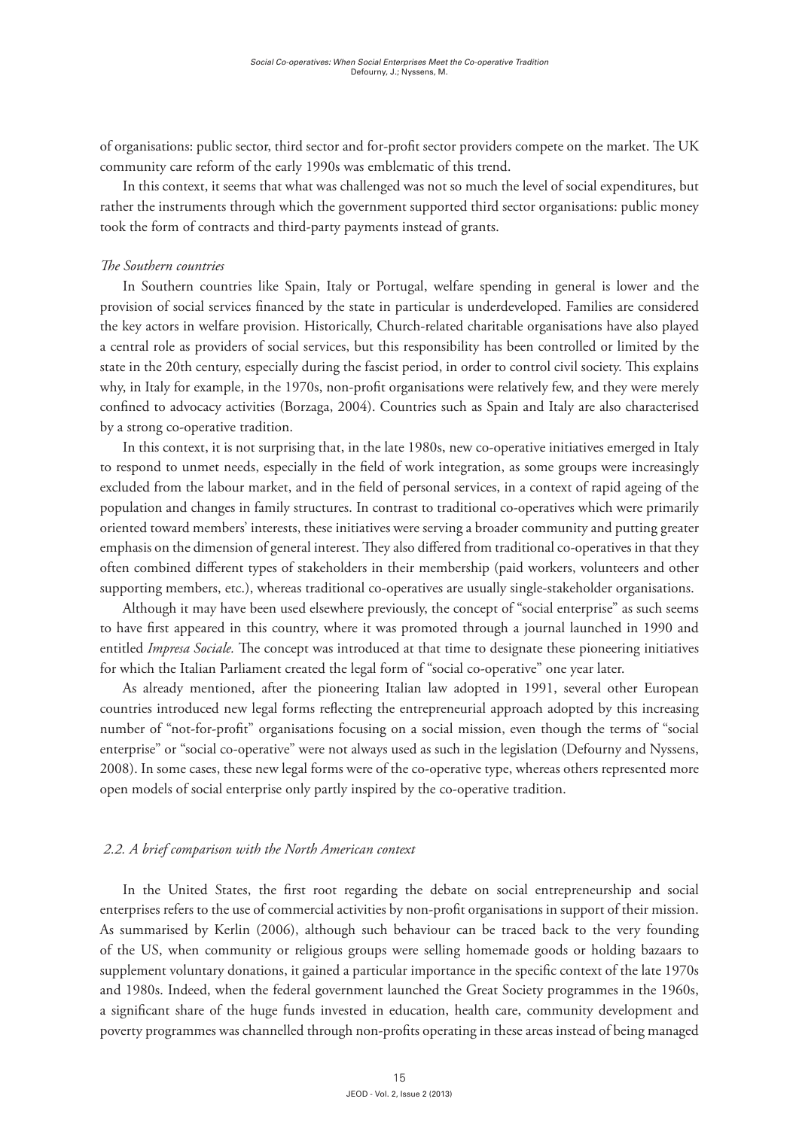of organisations: public sector, third sector and for-profit sector providers compete on the market. The UK community care reform of the early 1990s was emblematic of this trend.

In this context, it seems that what was challenged was not so much the level of social expenditures, but rather the instruments through which the government supported third sector organisations: public money took the form of contracts and third-party payments instead of grants.

#### *The Southern countries*

In Southern countries like Spain, Italy or Portugal, welfare spending in general is lower and the provision of social services financed by the state in particular is underdeveloped. Families are considered the key actors in welfare provision. Historically, Church-related charitable organisations have also played a central role as providers of social services, but this responsibility has been controlled or limited by the state in the 20th century, especially during the fascist period, in order to control civil society. This explains why, in Italy for example, in the 1970s, non-profit organisations were relatively few, and they were merely confined to advocacy activities (Borzaga, 2004). Countries such as Spain and Italy are also characterised by a strong co-operative tradition.

In this context, it is not surprising that, in the late 1980s, new co-operative initiatives emerged in Italy to respond to unmet needs, especially in the field of work integration, as some groups were increasingly excluded from the labour market, and in the field of personal services, in a context of rapid ageing of the population and changes in family structures. In contrast to traditional co-operatives which were primarily oriented toward members' interests, these initiatives were serving a broader community and putting greater emphasis on the dimension of general interest. They also differed from traditional co-operatives in that they often combined different types of stakeholders in their membership (paid workers, volunteers and other supporting members, etc.), whereas traditional co-operatives are usually single-stakeholder organisations.

Although it may have been used elsewhere previously, the concept of "social enterprise" as such seems to have first appeared in this country, where it was promoted through a journal launched in 1990 and entitled *Impresa Sociale.* The concept was introduced at that time to designate these pioneering initiatives for which the Italian Parliament created the legal form of "social co-operative" one year later.

As already mentioned, after the pioneering Italian law adopted in 1991, several other European countries introduced new legal forms reflecting the entrepreneurial approach adopted by this increasing number of "not-for-profit" organisations focusing on a social mission, even though the terms of "social enterprise" or "social co-operative" were not always used as such in the legislation (Defourny and Nyssens, 2008). In some cases, these new legal forms were of the co-operative type, whereas others represented more open models of social enterprise only partly inspired by the co-operative tradition.

#### *2.2. A brief comparison with the North American context*

In the United States, the first root regarding the debate on social entrepreneurship and social enterprises refers to the use of commercial activities by non-profit organisations in support of their mission. As summarised by Kerlin (2006), although such behaviour can be traced back to the very founding of the US, when community or religious groups were selling homemade goods or holding bazaars to supplement voluntary donations, it gained a particular importance in the specific context of the late 1970s and 1980s. Indeed, when the federal government launched the Great Society programmes in the 1960s, a significant share of the huge funds invested in education, health care, community development and poverty programmes was channelled through non-profits operating in these areas instead of being managed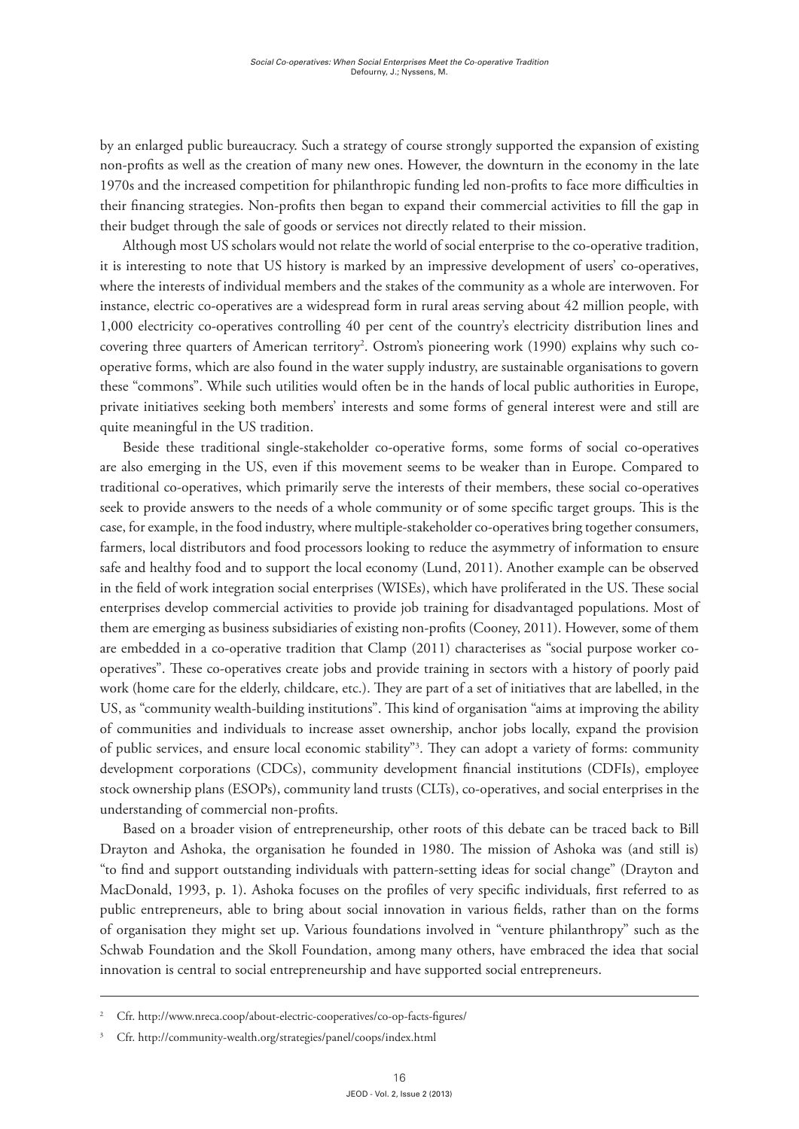by an enlarged public bureaucracy. Such a strategy of course strongly supported the expansion of existing non-profits as well as the creation of many new ones. However, the downturn in the economy in the late 1970s and the increased competition for philanthropic funding led non-profits to face more difficulties in their financing strategies. Non-profits then began to expand their commercial activities to fill the gap in their budget through the sale of goods or services not directly related to their mission.

Although most US scholars would not relate the world of social enterprise to the co-operative tradition, it is interesting to note that US history is marked by an impressive development of users' co-operatives, where the interests of individual members and the stakes of the community as a whole are interwoven. For instance, electric co-operatives are a widespread form in rural areas serving about 42 million people, with 1,000 electricity co-operatives controlling 40 per cent of the country's electricity distribution lines and covering three quarters of American territory2 . Ostrom's pioneering work (1990) explains why such cooperative forms, which are also found in the water supply industry, are sustainable organisations to govern these "commons". While such utilities would often be in the hands of local public authorities in Europe, private initiatives seeking both members' interests and some forms of general interest were and still are quite meaningful in the US tradition.

Beside these traditional single-stakeholder co-operative forms, some forms of social co-operatives are also emerging in the US, even if this movement seems to be weaker than in Europe. Compared to traditional co-operatives, which primarily serve the interests of their members, these social co-operatives seek to provide answers to the needs of a whole community or of some specific target groups. This is the case, for example, in the food industry, where multiple-stakeholder co-operatives bring together consumers, farmers, local distributors and food processors looking to reduce the asymmetry of information to ensure safe and healthy food and to support the local economy (Lund, 2011). Another example can be observed in the field of work integration social enterprises (WISEs), which have proliferated in the US. These social enterprises develop commercial activities to provide job training for disadvantaged populations. Most of them are emerging as business subsidiaries of existing non-profits (Cooney, 2011). However, some of them are embedded in a co-operative tradition that Clamp (2011) characterises as "social purpose worker cooperatives". These co-operatives create jobs and provide training in sectors with a history of poorly paid work (home care for the elderly, childcare, etc.). They are part of a set of initiatives that are labelled, in the US, as "community wealth-building institutions". This kind of organisation "aims at improving the ability of communities and individuals to increase asset ownership, anchor jobs locally, expand the provision of public services, and ensure local economic stability"3 . They can adopt a variety of forms: community development corporations (CDCs), community development financial institutions (CDFIs), employee stock ownership plans (ESOPs), community land trusts (CLTs), co-operatives, and social enterprises in the understanding of commercial non-profits.

Based on a broader vision of entrepreneurship, other roots of this debate can be traced back to Bill Drayton and Ashoka, the organisation he founded in 1980. The mission of Ashoka was (and still is) "to find and support outstanding individuals with pattern-setting ideas for social change" (Drayton and MacDonald, 1993, p. 1). Ashoka focuses on the profiles of very specific individuals, first referred to as public entrepreneurs, able to bring about social innovation in various fields, rather than on the forms of organisation they might set up. Various foundations involved in "venture philanthropy" such as the Schwab Foundation and the Skoll Foundation, among many others, have embraced the idea that social innovation is central to social entrepreneurship and have supported social entrepreneurs.

<sup>2</sup> Cfr. http://www.nreca.coop/about-electric-cooperatives/co-op-facts-figures/

<sup>3</sup> Cfr. http://community-wealth.org/strategies/panel/coops/index.html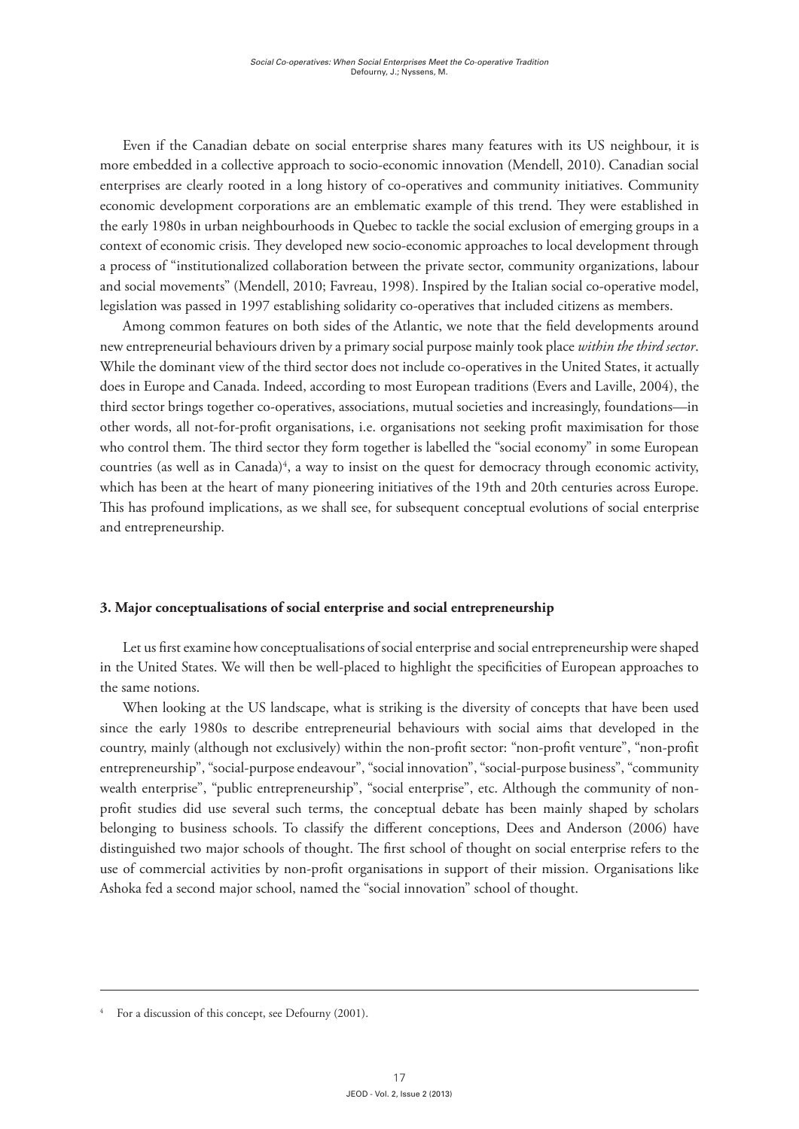Even if the Canadian debate on social enterprise shares many features with its US neighbour, it is more embedded in a collective approach to socio-economic innovation (Mendell, 2010). Canadian social enterprises are clearly rooted in a long history of co-operatives and community initiatives. Community economic development corporations are an emblematic example of this trend. They were established in the early 1980s in urban neighbourhoods in Quebec to tackle the social exclusion of emerging groups in a context of economic crisis. They developed new socio-economic approaches to local development through a process of "institutionalized collaboration between the private sector, community organizations, labour and social movements" (Mendell, 2010; Favreau, 1998). Inspired by the Italian social co-operative model, legislation was passed in 1997 establishing solidarity co-operatives that included citizens as members.

Among common features on both sides of the Atlantic, we note that the field developments around new entrepreneurial behaviours driven by a primary social purpose mainly took place *within the third sector*. While the dominant view of the third sector does not include co-operatives in the United States, it actually does in Europe and Canada. Indeed, according to most European traditions (Evers and Laville, 2004), the third sector brings together co-operatives, associations, mutual societies and increasingly, foundations—in other words, all not-for-profit organisations, i.e. organisations not seeking profit maximisation for those who control them. The third sector they form together is labelled the "social economy" in some European countries (as well as in Canada)<sup>4</sup>, a way to insist on the quest for democracy through economic activity, which has been at the heart of many pioneering initiatives of the 19th and 20th centuries across Europe. This has profound implications, as we shall see, for subsequent conceptual evolutions of social enterprise and entrepreneurship.

#### **3. Major conceptualisations of social enterprise and social entrepreneurship**

Let us first examine how conceptualisations of social enterprise and social entrepreneurship were shaped in the United States. We will then be well-placed to highlight the specificities of European approaches to the same notions.

When looking at the US landscape, what is striking is the diversity of concepts that have been used since the early 1980s to describe entrepreneurial behaviours with social aims that developed in the country, mainly (although not exclusively) within the non-profit sector: "non-profit venture", "non-profit entrepreneurship", "social-purpose endeavour", "social innovation", "social-purpose business", "community wealth enterprise", "public entrepreneurship", "social enterprise", etc. Although the community of nonprofit studies did use several such terms, the conceptual debate has been mainly shaped by scholars belonging to business schools. To classify the different conceptions, Dees and Anderson (2006) have distinguished two major schools of thought. The first school of thought on social enterprise refers to the use of commercial activities by non-profit organisations in support of their mission. Organisations like Ashoka fed a second major school, named the "social innovation" school of thought.

For a discussion of this concept, see Defourny (2001).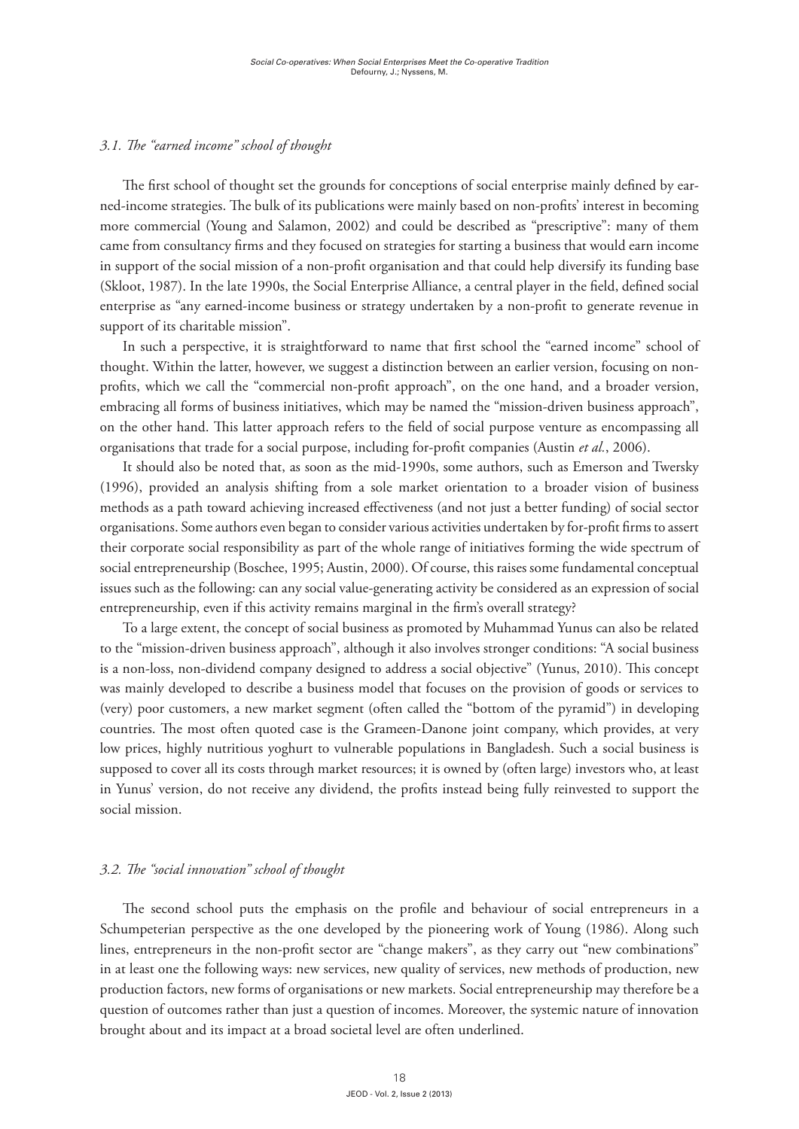#### *3.1. The "earned income" school of thought*

The first school of thought set the grounds for conceptions of social enterprise mainly defined by earned-income strategies. The bulk of its publications were mainly based on non-profits' interest in becoming more commercial (Young and Salamon, 2002) and could be described as "prescriptive": many of them came from consultancy firms and they focused on strategies for starting a business that would earn income in support of the social mission of a non-profit organisation and that could help diversify its funding base (Skloot, 1987). In the late 1990s, the Social Enterprise Alliance, a central player in the field, defined social enterprise as "any earned-income business or strategy undertaken by a non-profit to generate revenue in support of its charitable mission".

In such a perspective, it is straightforward to name that first school the "earned income" school of thought. Within the latter, however, we suggest a distinction between an earlier version, focusing on nonprofits, which we call the "commercial non-profit approach", on the one hand, and a broader version, embracing all forms of business initiatives, which may be named the "mission-driven business approach", on the other hand. This latter approach refers to the field of social purpose venture as encompassing all organisations that trade for a social purpose, including for-profit companies (Austin *et al.*, 2006).

It should also be noted that, as soon as the mid-1990s, some authors, such as Emerson and Twersky (1996), provided an analysis shifting from a sole market orientation to a broader vision of business methods as a path toward achieving increased effectiveness (and not just a better funding) of social sector organisations. Some authors even began to consider various activities undertaken by for-profit firms to assert their corporate social responsibility as part of the whole range of initiatives forming the wide spectrum of social entrepreneurship (Boschee, 1995; Austin, 2000). Of course, this raises some fundamental conceptual issues such as the following: can any social value-generating activity be considered as an expression of social entrepreneurship, even if this activity remains marginal in the firm's overall strategy?

To a large extent, the concept of social business as promoted by Muhammad Yunus can also be related to the "mission-driven business approach", although it also involves stronger conditions: "A social business is a non-loss, non-dividend company designed to address a social objective" (Yunus, 2010). This concept was mainly developed to describe a business model that focuses on the provision of goods or services to (very) poor customers, a new market segment (often called the "bottom of the pyramid") in developing countries. The most often quoted case is the Grameen-Danone joint company, which provides, at very low prices, highly nutritious yoghurt to vulnerable populations in Bangladesh. Such a social business is supposed to cover all its costs through market resources; it is owned by (often large) investors who, at least in Yunus' version, do not receive any dividend, the profits instead being fully reinvested to support the social mission.

#### *3.2. The "social innovation" school of thought*

The second school puts the emphasis on the profile and behaviour of social entrepreneurs in a Schumpeterian perspective as the one developed by the pioneering work of Young (1986). Along such lines, entrepreneurs in the non-profit sector are "change makers", as they carry out "new combinations" in at least one the following ways: new services, new quality of services, new methods of production, new production factors, new forms of organisations or new markets. Social entrepreneurship may therefore be a question of outcomes rather than just a question of incomes. Moreover, the systemic nature of innovation brought about and its impact at a broad societal level are often underlined.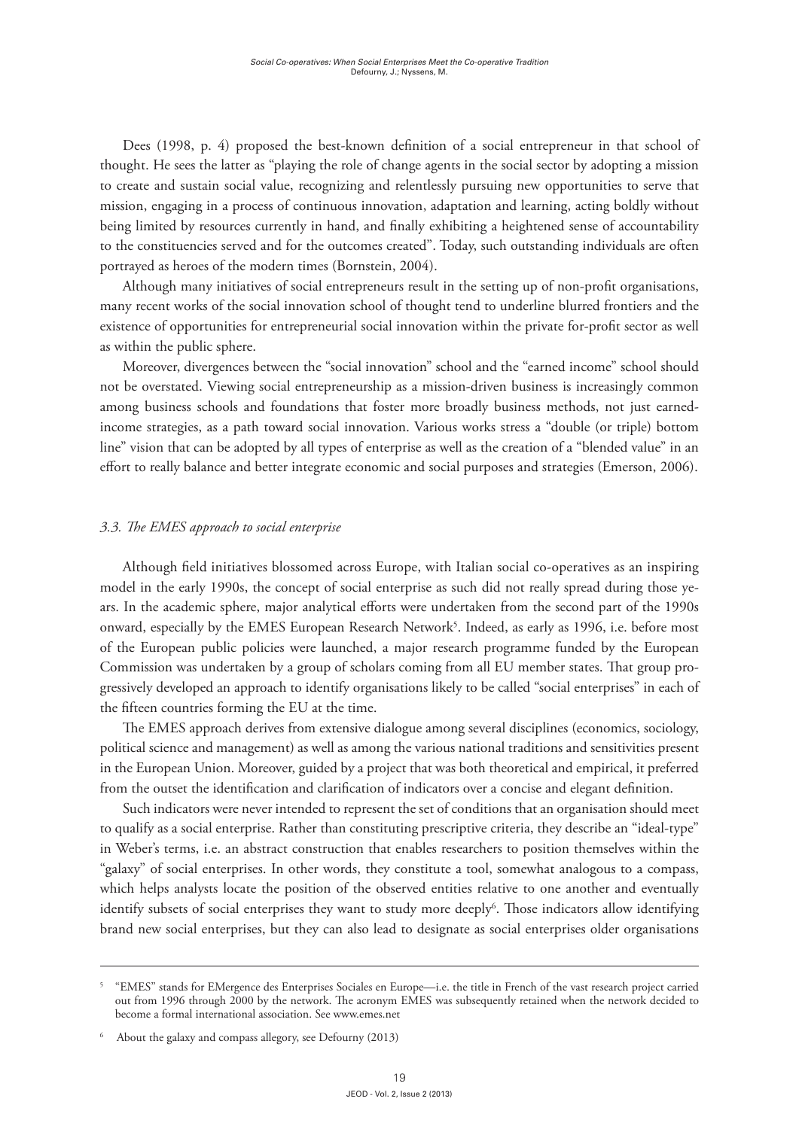Dees (1998, p. 4) proposed the best-known definition of a social entrepreneur in that school of thought. He sees the latter as "playing the role of change agents in the social sector by adopting a mission to create and sustain social value, recognizing and relentlessly pursuing new opportunities to serve that mission, engaging in a process of continuous innovation, adaptation and learning, acting boldly without being limited by resources currently in hand, and finally exhibiting a heightened sense of accountability to the constituencies served and for the outcomes created". Today, such outstanding individuals are often portrayed as heroes of the modern times (Bornstein, 2004).

Although many initiatives of social entrepreneurs result in the setting up of non-profit organisations, many recent works of the social innovation school of thought tend to underline blurred frontiers and the existence of opportunities for entrepreneurial social innovation within the private for-profit sector as well as within the public sphere.

Moreover, divergences between the "social innovation" school and the "earned income" school should not be overstated. Viewing social entrepreneurship as a mission-driven business is increasingly common among business schools and foundations that foster more broadly business methods, not just earnedincome strategies, as a path toward social innovation. Various works stress a "double (or triple) bottom line" vision that can be adopted by all types of enterprise as well as the creation of a "blended value" in an effort to really balance and better integrate economic and social purposes and strategies (Emerson, 2006).

# *3.3. The EMES approach to social enterprise*

Although field initiatives blossomed across Europe, with Italian social co-operatives as an inspiring model in the early 1990s, the concept of social enterprise as such did not really spread during those years. In the academic sphere, major analytical efforts were undertaken from the second part of the 1990s onward, especially by the EMES European Research Network<sup>5</sup>. Indeed, as early as 1996, i.e. before most of the European public policies were launched, a major research programme funded by the European Commission was undertaken by a group of scholars coming from all EU member states. That group progressively developed an approach to identify organisations likely to be called "social enterprises" in each of the fifteen countries forming the EU at the time.

The EMES approach derives from extensive dialogue among several disciplines (economics, sociology, political science and management) as well as among the various national traditions and sensitivities present in the European Union. Moreover, guided by a project that was both theoretical and empirical, it preferred from the outset the identification and clarification of indicators over a concise and elegant definition.

Such indicators were never intended to represent the set of conditions that an organisation should meet to qualify as a social enterprise. Rather than constituting prescriptive criteria, they describe an "ideal-type" in Weber's terms, i.e. an abstract construction that enables researchers to position themselves within the "galaxy" of social enterprises. In other words, they constitute a tool, somewhat analogous to a compass, which helps analysts locate the position of the observed entities relative to one another and eventually identify subsets of social enterprises they want to study more deeply<sup>6</sup>. Those indicators allow identifying brand new social enterprises, but they can also lead to designate as social enterprises older organisations

<sup>5</sup> "EMES" stands for EMergence des Enterprises Sociales en Europe—i.e. the title in French of the vast research project carried out from 1996 through 2000 by the network. The acronym EMES was subsequently retained when the network decided to become a formal international association. See www.emes.net

<sup>6</sup> About the galaxy and compass allegory, see Defourny (2013)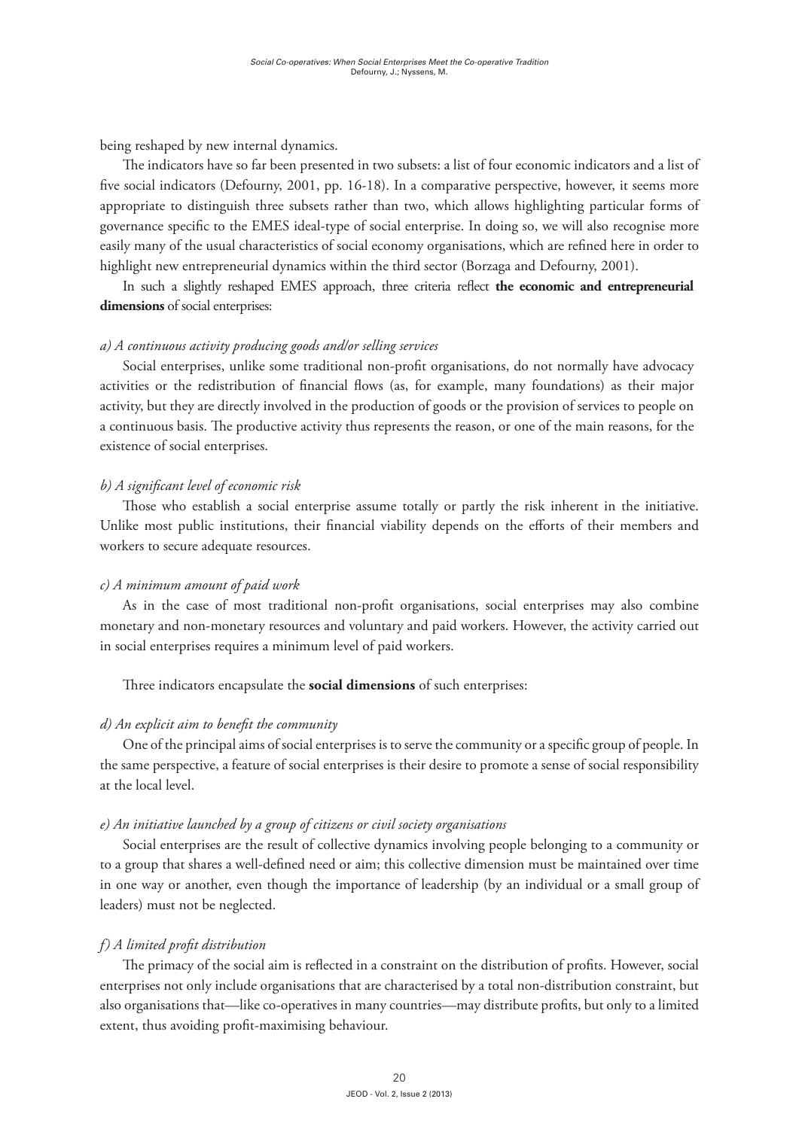being reshaped by new internal dynamics.

The indicators have so far been presented in two subsets: a list of four economic indicators and a list of five social indicators (Defourny, 2001, pp. 16-18). In a comparative perspective, however, it seems more appropriate to distinguish three subsets rather than two, which allows highlighting particular forms of governance specific to the EMES ideal-type of social enterprise. In doing so, we will also recognise more easily many of the usual characteristics of social economy organisations, which are refined here in order to highlight new entrepreneurial dynamics within the third sector (Borzaga and Defourny, 2001).

In such a slightly reshaped EMES approach, three criteria reflect **the economic and entrepreneurial dimensions** of social enterprises:

#### *a) A continuous activity producing goods and/or selling services*

Social enterprises, unlike some traditional non-profit organisations, do not normally have advocacy activities or the redistribution of financial flows (as, for example, many foundations) as their major activity, but they are directly involved in the production of goods or the provision of services to people on a continuous basis. The productive activity thus represents the reason, or one of the main reasons, for the existence of social enterprises.

#### *b) A significant level of economic risk*

Those who establish a social enterprise assume totally or partly the risk inherent in the initiative. Unlike most public institutions, their financial viability depends on the efforts of their members and workers to secure adequate resources.

#### *c) A minimum amount of paid work*

As in the case of most traditional non-profit organisations, social enterprises may also combine monetary and non-monetary resources and voluntary and paid workers. However, the activity carried out in social enterprises requires a minimum level of paid workers.

#### Three indicators encapsulate the **social dimensions** of such enterprises:

#### *d) An explicit aim to benefit the community*

One of the principal aims of social enterprises is to serve the community or a specific group of people. In the same perspective, a feature of social enterprises is their desire to promote a sense of social responsibility at the local level.

#### *e) An initiative launched by a group of citizens or civil society organisations*

Social enterprises are the result of collective dynamics involving people belonging to a community or to a group that shares a well-defined need or aim; this collective dimension must be maintained over time in one way or another, even though the importance of leadership (by an individual or a small group of leaders) must not be neglected.

#### *f) A limited profit distribution*

The primacy of the social aim is reflected in a constraint on the distribution of profits. However, social enterprises not only include organisations that are characterised by a total non-distribution constraint, but also organisations that—like co-operatives in many countries—may distribute profits, but only to a limited extent, thus avoiding profit-maximising behaviour.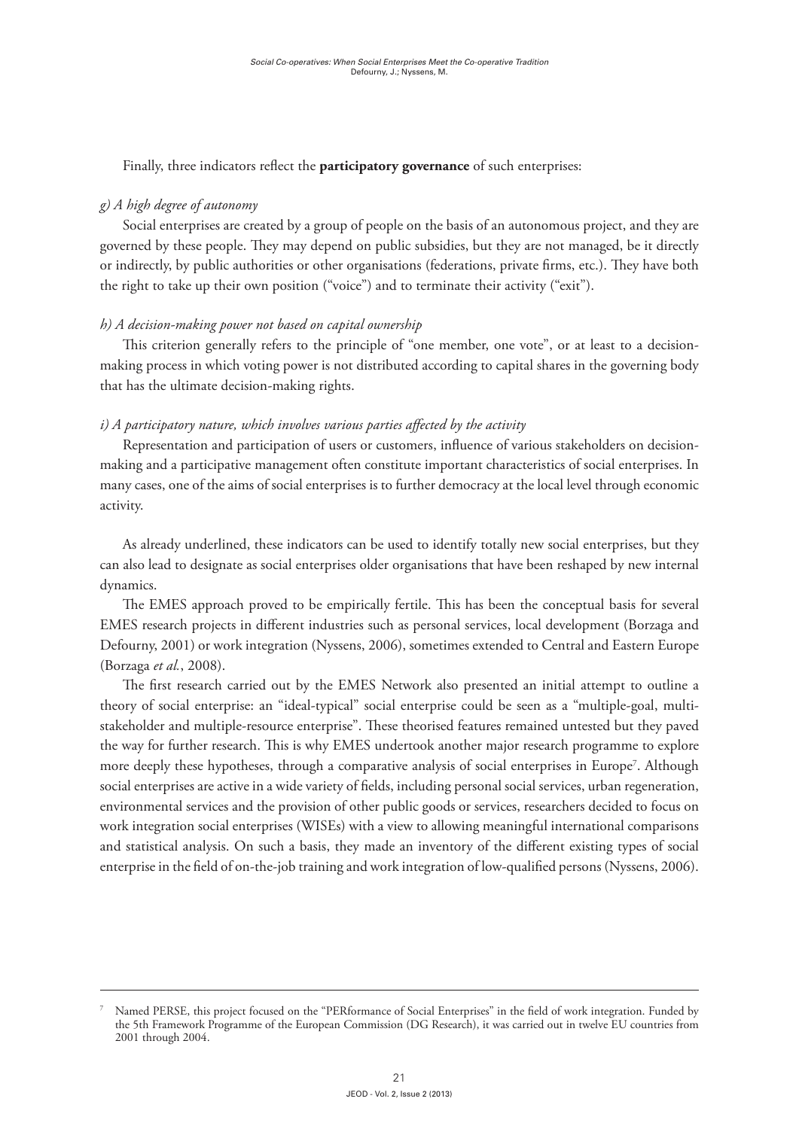Finally, three indicators reflect the **participatory governance** of such enterprises:

# *g) A high degree of autonomy*

Social enterprises are created by a group of people on the basis of an autonomous project, and they are governed by these people. They may depend on public subsidies, but they are not managed, be it directly or indirectly, by public authorities or other organisations (federations, private firms, etc.). They have both the right to take up their own position ("voice") and to terminate their activity ("exit").

# *h) A decision-making power not based on capital ownership*

This criterion generally refers to the principle of "one member, one vote", or at least to a decisionmaking process in which voting power is not distributed according to capital shares in the governing body that has the ultimate decision-making rights.

# *i) A participatory nature, which involves various parties affected by the activity*

Representation and participation of users or customers, influence of various stakeholders on decisionmaking and a participative management often constitute important characteristics of social enterprises. In many cases, one of the aims of social enterprises is to further democracy at the local level through economic activity.

As already underlined, these indicators can be used to identify totally new social enterprises, but they can also lead to designate as social enterprises older organisations that have been reshaped by new internal dynamics.

The EMES approach proved to be empirically fertile. This has been the conceptual basis for several EMES research projects in different industries such as personal services, local development (Borzaga and Defourny, 2001) or work integration (Nyssens, 2006), sometimes extended to Central and Eastern Europe (Borzaga *et al.*, 2008).

The first research carried out by the EMES Network also presented an initial attempt to outline a theory of social enterprise: an "ideal-typical" social enterprise could be seen as a "multiple-goal, multistakeholder and multiple-resource enterprise". These theorised features remained untested but they paved the way for further research. This is why EMES undertook another major research programme to explore more deeply these hypotheses, through a comparative analysis of social enterprises in Europe7 . Although social enterprises are active in a wide variety of fields, including personal social services, urban regeneration, environmental services and the provision of other public goods or services, researchers decided to focus on work integration social enterprises (WISEs) with a view to allowing meaningful international comparisons and statistical analysis. On such a basis, they made an inventory of the different existing types of social enterprise in the field of on-the-job training and work integration of low-qualified persons (Nyssens, 2006).

<sup>7</sup> Named PERSE, this project focused on the "PERformance of Social Enterprises" in the field of work integration. Funded by the 5th Framework Programme of the European Commission (DG Research), it was carried out in twelve EU countries from 2001 through 2004.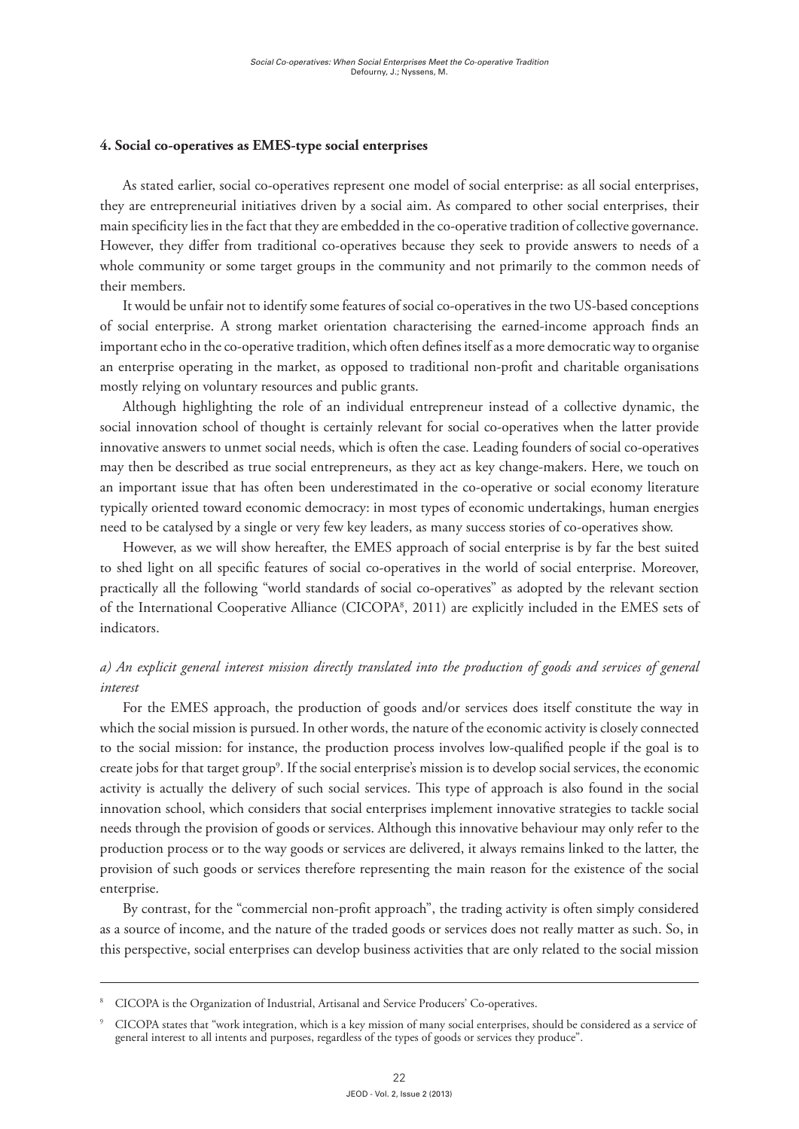### **4. Social co-operatives as EMES-type social enterprises**

As stated earlier, social co-operatives represent one model of social enterprise: as all social enterprises, they are entrepreneurial initiatives driven by a social aim. As compared to other social enterprises, their main specificity lies in the fact that they are embedded in the co-operative tradition of collective governance. However, they differ from traditional co-operatives because they seek to provide answers to needs of a whole community or some target groups in the community and not primarily to the common needs of their members.

It would be unfair not to identify some features of social co-operatives in the two US-based conceptions of social enterprise. A strong market orientation characterising the earned-income approach finds an important echo in the co-operative tradition, which often defines itself as a more democratic way to organise an enterprise operating in the market, as opposed to traditional non-profit and charitable organisations mostly relying on voluntary resources and public grants.

Although highlighting the role of an individual entrepreneur instead of a collective dynamic, the social innovation school of thought is certainly relevant for social co-operatives when the latter provide innovative answers to unmet social needs, which is often the case. Leading founders of social co-operatives may then be described as true social entrepreneurs, as they act as key change-makers. Here, we touch on an important issue that has often been underestimated in the co-operative or social economy literature typically oriented toward economic democracy: in most types of economic undertakings, human energies need to be catalysed by a single or very few key leaders, as many success stories of co-operatives show.

However, as we will show hereafter, the EMES approach of social enterprise is by far the best suited to shed light on all specific features of social co-operatives in the world of social enterprise. Moreover, practically all the following "world standards of social co-operatives" as adopted by the relevant section of the International Cooperative Alliance (CICOPA<sup>8</sup>, 2011) are explicitly included in the EMES sets of indicators.

# *a) An explicit general interest mission directly translated into the production of goods and services of general interest*

For the EMES approach, the production of goods and/or services does itself constitute the way in which the social mission is pursued. In other words, the nature of the economic activity is closely connected to the social mission: for instance, the production process involves low-qualified people if the goal is to create jobs for that target group<sup>9</sup>. If the social enterprise's mission is to develop social services, the economic activity is actually the delivery of such social services. This type of approach is also found in the social innovation school, which considers that social enterprises implement innovative strategies to tackle social needs through the provision of goods or services. Although this innovative behaviour may only refer to the production process or to the way goods or services are delivered, it always remains linked to the latter, the provision of such goods or services therefore representing the main reason for the existence of the social enterprise.

By contrast, for the "commercial non-profit approach", the trading activity is often simply considered as a source of income, and the nature of the traded goods or services does not really matter as such. So, in this perspective, social enterprises can develop business activities that are only related to the social mission

<sup>8</sup> CICOPA is the Organization of Industrial, Artisanal and Service Producers' Co-operatives.

<sup>9</sup> CICOPA states that "work integration, which is a key mission of many social enterprises, should be considered as a service of general interest to all intents and purposes, regardless of the types of goods or services they produce".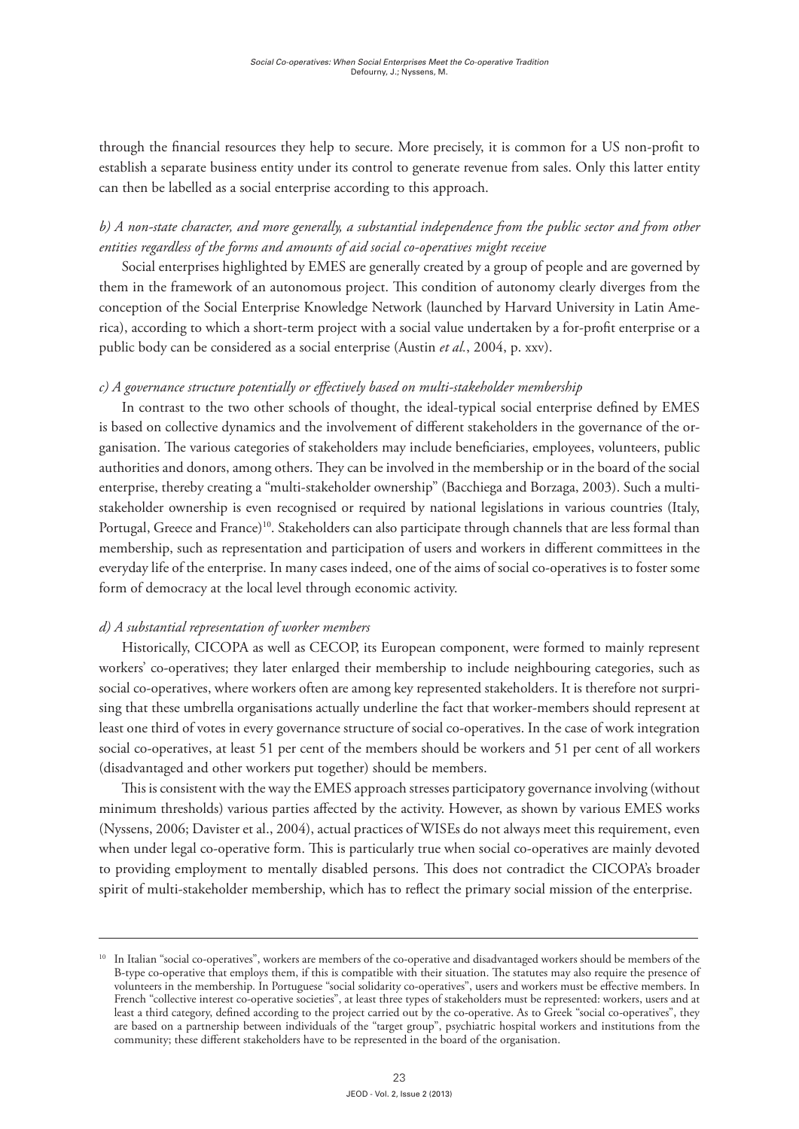through the financial resources they help to secure. More precisely, it is common for a US non-profit to establish a separate business entity under its control to generate revenue from sales. Only this latter entity can then be labelled as a social enterprise according to this approach.

# *b) A non-state character, and more generally, a substantial independence from the public sector and from other entities regardless of the forms and amounts of aid social co-operatives might receive*

Social enterprises highlighted by EMES are generally created by a group of people and are governed by them in the framework of an autonomous project. This condition of autonomy clearly diverges from the conception of the Social Enterprise Knowledge Network (launched by Harvard University in Latin America), according to which a short-term project with a social value undertaken by a for-profit enterprise or a public body can be considered as a social enterprise (Austin *et al.*, 2004, p. xxv).

# *c) A governance structure potentially or effectively based on multi-stakeholder membership*

In contrast to the two other schools of thought, the ideal-typical social enterprise defined by EMES is based on collective dynamics and the involvement of different stakeholders in the governance of the organisation. The various categories of stakeholders may include beneficiaries, employees, volunteers, public authorities and donors, among others. They can be involved in the membership or in the board of the social enterprise, thereby creating a "multi-stakeholder ownership" (Bacchiega and Borzaga, 2003). Such a multistakeholder ownership is even recognised or required by national legislations in various countries (Italy, Portugal, Greece and France)<sup>10</sup>. Stakeholders can also participate through channels that are less formal than membership, such as representation and participation of users and workers in different committees in the everyday life of the enterprise. In many cases indeed, one of the aims of social co-operatives is to foster some form of democracy at the local level through economic activity.

# *d) A substantial representation of worker members*

Historically, CICOPA as well as CECOP, its European component, were formed to mainly represent workers' co-operatives; they later enlarged their membership to include neighbouring categories, such as social co-operatives, where workers often are among key represented stakeholders. It is therefore not surprising that these umbrella organisations actually underline the fact that worker-members should represent at least one third of votes in every governance structure of social co-operatives. In the case of work integration social co-operatives, at least 51 per cent of the members should be workers and 51 per cent of all workers (disadvantaged and other workers put together) should be members.

This is consistent with the way the EMES approach stresses participatory governance involving (without minimum thresholds) various parties affected by the activity. However, as shown by various EMES works (Nyssens, 2006; Davister et al., 2004), actual practices of WISEs do not always meet this requirement, even when under legal co-operative form. This is particularly true when social co-operatives are mainly devoted to providing employment to mentally disabled persons. This does not contradict the CICOPA's broader spirit of multi-stakeholder membership, which has to reflect the primary social mission of the enterprise.

<sup>&</sup>lt;sup>10</sup> In Italian "social co-operatives", workers are members of the co-operative and disadvantaged workers should be members of the B-type co-operative that employs them, if this is compatible with their situation. The statutes may also require the presence of volunteers in the membership. In Portuguese "social solidarity co-operatives", users and workers must be effective members. In French "collective interest co-operative societies", at least three types of stakeholders must be represented: workers, users and at least a third category, defined according to the project carried out by the co-operative. As to Greek "social co-operatives", they are based on a partnership between individuals of the "target group", psychiatric hospital workers and institutions from the community; these different stakeholders have to be represented in the board of the organisation.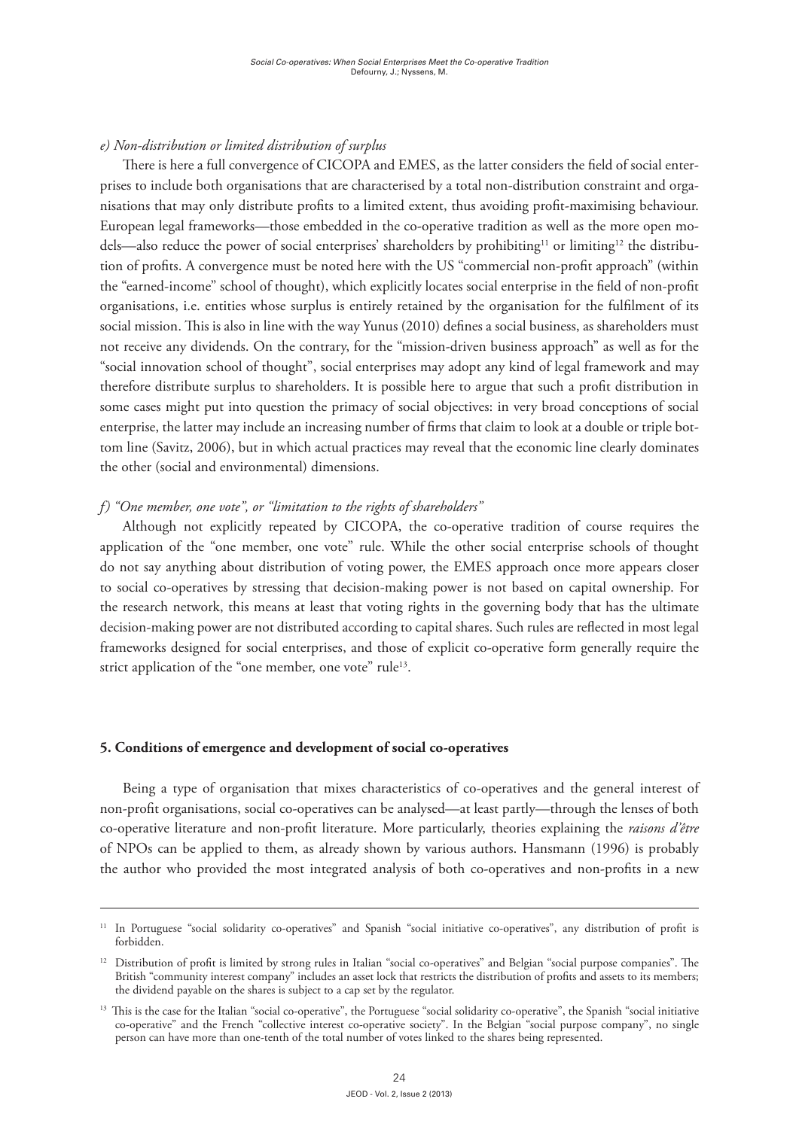# *e) Non-distribution or limited distribution of surplus*

There is here a full convergence of CICOPA and EMES, as the latter considers the field of social enterprises to include both organisations that are characterised by a total non-distribution constraint and organisations that may only distribute profits to a limited extent, thus avoiding profit-maximising behaviour. European legal frameworks—those embedded in the co-operative tradition as well as the more open models—also reduce the power of social enterprises' shareholders by prohibiting<sup>11</sup> or limiting<sup>12</sup> the distribution of profits. A convergence must be noted here with the US "commercial non-profit approach" (within the "earned-income" school of thought), which explicitly locates social enterprise in the field of non-profit organisations, i.e. entities whose surplus is entirely retained by the organisation for the fulfilment of its social mission. This is also in line with the way Yunus (2010) defines a social business, as shareholders must not receive any dividends. On the contrary, for the "mission-driven business approach" as well as for the "social innovation school of thought", social enterprises may adopt any kind of legal framework and may therefore distribute surplus to shareholders. It is possible here to argue that such a profit distribution in some cases might put into question the primacy of social objectives: in very broad conceptions of social enterprise, the latter may include an increasing number of firms that claim to look at a double or triple bottom line (Savitz, 2006), but in which actual practices may reveal that the economic line clearly dominates the other (social and environmental) dimensions.

#### *f) "One member, one vote", or "limitation to the rights of shareholders"*

Although not explicitly repeated by CICOPA, the co-operative tradition of course requires the application of the "one member, one vote" rule. While the other social enterprise schools of thought do not say anything about distribution of voting power, the EMES approach once more appears closer to social co-operatives by stressing that decision-making power is not based on capital ownership. For the research network, this means at least that voting rights in the governing body that has the ultimate decision-making power are not distributed according to capital shares. Such rules are reflected in most legal frameworks designed for social enterprises, and those of explicit co-operative form generally require the strict application of the "one member, one vote" rule<sup>13</sup>.

#### **5. Conditions of emergence and development of social co-operatives**

Being a type of organisation that mixes characteristics of co-operatives and the general interest of non-profit organisations, social co-operatives can be analysed—at least partly—through the lenses of both co-operative literature and non-profit literature. More particularly, theories explaining the *raisons d'être* of NPOs can be applied to them, as already shown by various authors. Hansmann (1996) is probably the author who provided the most integrated analysis of both co-operatives and non-profits in a new

<sup>&</sup>lt;sup>11</sup> In Portuguese "social solidarity co-operatives" and Spanish "social initiative co-operatives", any distribution of profit is forbidden.

<sup>&</sup>lt;sup>12</sup> Distribution of profit is limited by strong rules in Italian "social co-operatives" and Belgian "social purpose companies". The British "community interest company" includes an asset lock that restricts the distribution of profits and assets to its members; the dividend payable on the shares is subject to a cap set by the regulator.

<sup>&</sup>lt;sup>13</sup> This is the case for the Italian "social co-operative", the Portuguese "social solidarity co-operative", the Spanish "social initiative co-operative" and the French "collective interest co-operative society". In the Belgian "social purpose company", no single person can have more than one-tenth of the total number of votes linked to the shares being represented.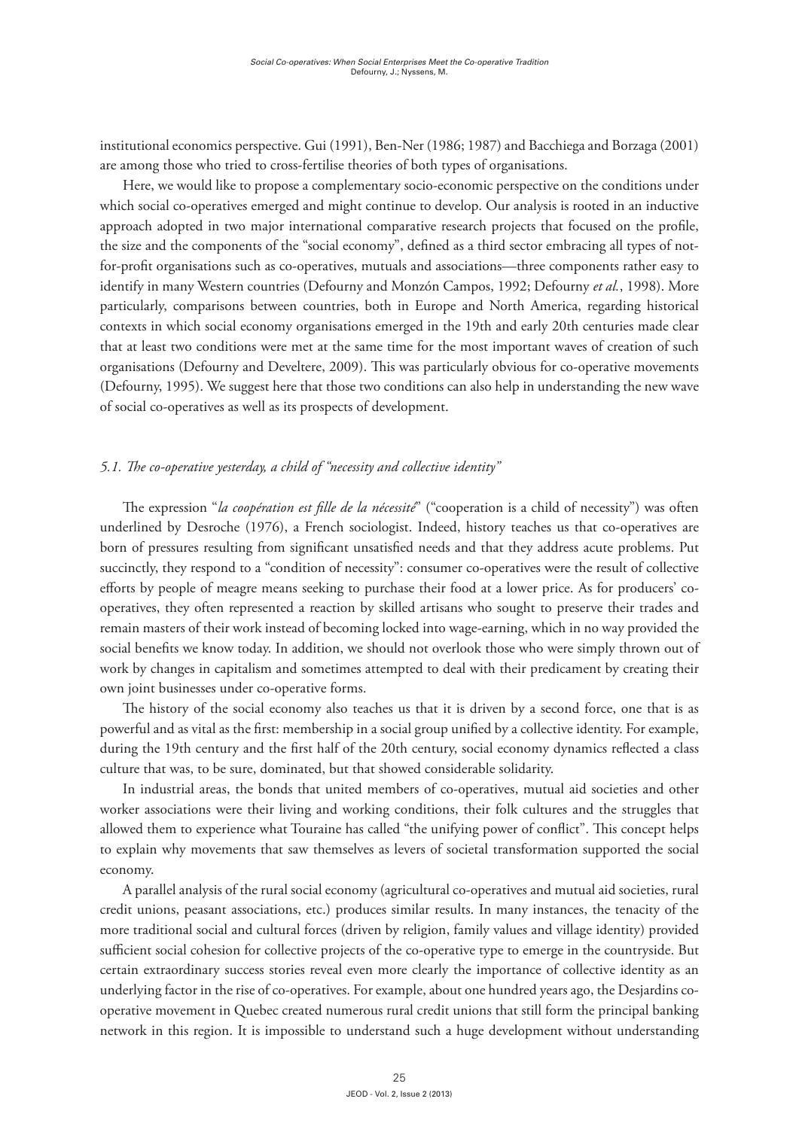institutional economics perspective. Gui (1991), Ben-Ner (1986; 1987) and Bacchiega and Borzaga (2001) are among those who tried to cross-fertilise theories of both types of organisations.

Here, we would like to propose a complementary socio-economic perspective on the conditions under which social co-operatives emerged and might continue to develop. Our analysis is rooted in an inductive approach adopted in two major international comparative research projects that focused on the profile, the size and the components of the "social economy", defined as a third sector embracing all types of notfor-profit organisations such as co-operatives, mutuals and associations—three components rather easy to identify in many Western countries (Defourny and Monzón Campos, 1992; Defourny *et al.*, 1998). More particularly, comparisons between countries, both in Europe and North America, regarding historical contexts in which social economy organisations emerged in the 19th and early 20th centuries made clear that at least two conditions were met at the same time for the most important waves of creation of such organisations (Defourny and Develtere, 2009). This was particularly obvious for co-operative movements (Defourny, 1995). We suggest here that those two conditions can also help in understanding the new wave of social co-operatives as well as its prospects of development.

# *5.1. The co-operative yesterday, a child of "necessity and collective identity"*

The expression "*la coopération est fille de la nécessité*" ("cooperation is a child of necessity") was often underlined by Desroche (1976), a French sociologist. Indeed, history teaches us that co-operatives are born of pressures resulting from significant unsatisfied needs and that they address acute problems. Put succinctly, they respond to a "condition of necessity": consumer co-operatives were the result of collective efforts by people of meagre means seeking to purchase their food at a lower price. As for producers' cooperatives, they often represented a reaction by skilled artisans who sought to preserve their trades and remain masters of their work instead of becoming locked into wage-earning, which in no way provided the social benefits we know today. In addition, we should not overlook those who were simply thrown out of work by changes in capitalism and sometimes attempted to deal with their predicament by creating their own joint businesses under co-operative forms.

The history of the social economy also teaches us that it is driven by a second force, one that is as powerful and as vital as the first: membership in a social group unified by a collective identity. For example, during the 19th century and the first half of the 20th century, social economy dynamics reflected a class culture that was, to be sure, dominated, but that showed considerable solidarity.

In industrial areas, the bonds that united members of co-operatives, mutual aid societies and other worker associations were their living and working conditions, their folk cultures and the struggles that allowed them to experience what Touraine has called "the unifying power of conflict". This concept helps to explain why movements that saw themselves as levers of societal transformation supported the social economy.

A parallel analysis of the rural social economy (agricultural co-operatives and mutual aid societies, rural credit unions, peasant associations, etc.) produces similar results. In many instances, the tenacity of the more traditional social and cultural forces (driven by religion, family values and village identity) provided sufficient social cohesion for collective projects of the co-operative type to emerge in the countryside. But certain extraordinary success stories reveal even more clearly the importance of collective identity as an underlying factor in the rise of co-operatives. For example, about one hundred years ago, the Desjardins cooperative movement in Quebec created numerous rural credit unions that still form the principal banking network in this region. It is impossible to understand such a huge development without understanding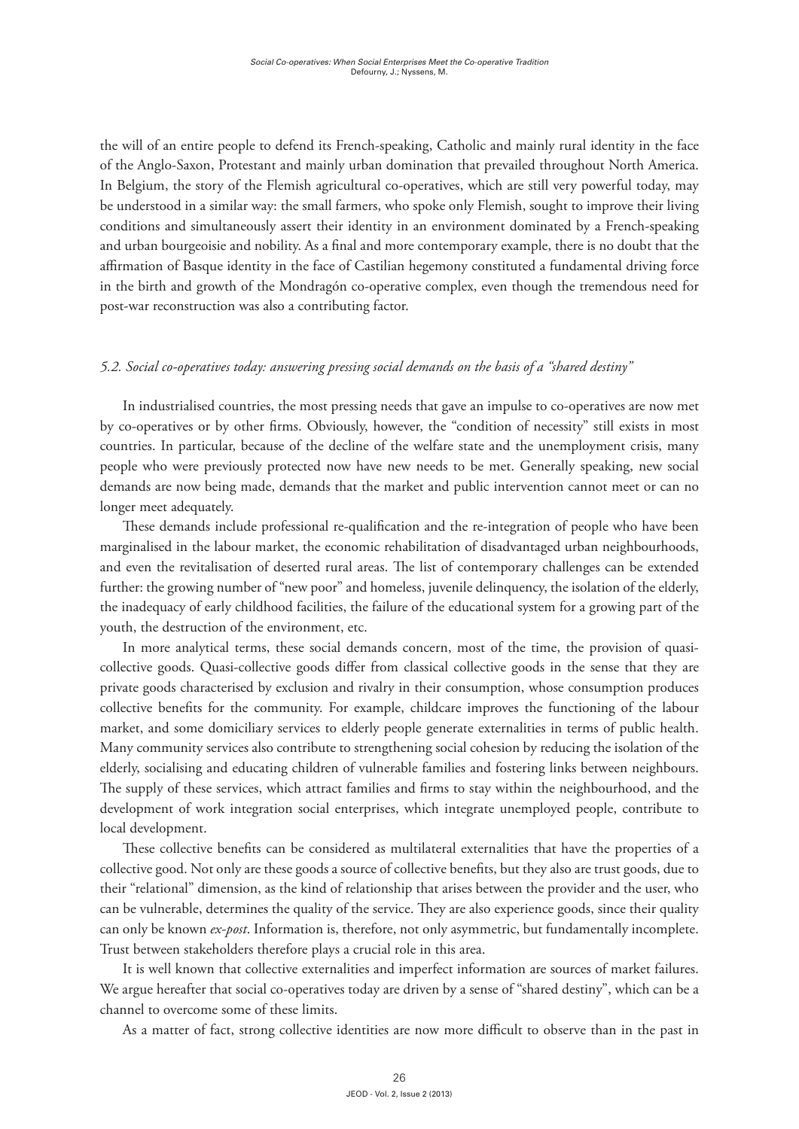the will of an entire people to defend its French-speaking, Catholic and mainly rural identity in the face of the Anglo-Saxon, Protestant and mainly urban domination that prevailed throughout North America. In Belgium, the story of the Flemish agricultural co-operatives, which are still very powerful today, may be understood in a similar way: the small farmers, who spoke only Flemish, sought to improve their living conditions and simultaneously assert their identity in an environment dominated by a French-speaking and urban bourgeoisie and nobility. As a final and more contemporary example, there is no doubt that the affirmation of Basque identity in the face of Castilian hegemony constituted a fundamental driving force in the birth and growth of the Mondragón co-operative complex, even though the tremendous need for post-war reconstruction was also a contributing factor.

# *5.2. Social co-operatives today: answering pressing social demands on the basis of a "shared destiny"*

In industrialised countries, the most pressing needs that gave an impulse to co-operatives are now met by co-operatives or by other firms. Obviously, however, the "condition of necessity" still exists in most countries. In particular, because of the decline of the welfare state and the unemployment crisis, many people who were previously protected now have new needs to be met. Generally speaking, new social demands are now being made, demands that the market and public intervention cannot meet or can no longer meet adequately.

These demands include professional re-qualification and the re-integration of people who have been marginalised in the labour market, the economic rehabilitation of disadvantaged urban neighbourhoods, and even the revitalisation of deserted rural areas. The list of contemporary challenges can be extended further: the growing number of "new poor" and homeless, juvenile delinquency, the isolation of the elderly, the inadequacy of early childhood facilities, the failure of the educational system for a growing part of the youth, the destruction of the environment, etc.

In more analytical terms, these social demands concern, most of the time, the provision of quasicollective goods. Quasi-collective goods differ from classical collective goods in the sense that they are private goods characterised by exclusion and rivalry in their consumption, whose consumption produces collective benefits for the community. For example, childcare improves the functioning of the labour market, and some domiciliary services to elderly people generate externalities in terms of public health. Many community services also contribute to strengthening social cohesion by reducing the isolation of the elderly, socialising and educating children of vulnerable families and fostering links between neighbours. The supply of these services, which attract families and firms to stay within the neighbourhood, and the development of work integration social enterprises, which integrate unemployed people, contribute to local development.

These collective benefits can be considered as multilateral externalities that have the properties of a collective good. Not only are these goods a source of collective benefits, but they also are trust goods, due to their "relational" dimension, as the kind of relationship that arises between the provider and the user, who can be vulnerable, determines the quality of the service. They are also experience goods, since their quality can only be known *ex-post*. Information is, therefore, not only asymmetric, but fundamentally incomplete. Trust between stakeholders therefore plays a crucial role in this area.

It is well known that collective externalities and imperfect information are sources of market failures. We argue hereafter that social co-operatives today are driven by a sense of "shared destiny", which can be a channel to overcome some of these limits.

As a matter of fact, strong collective identities are now more difficult to observe than in the past in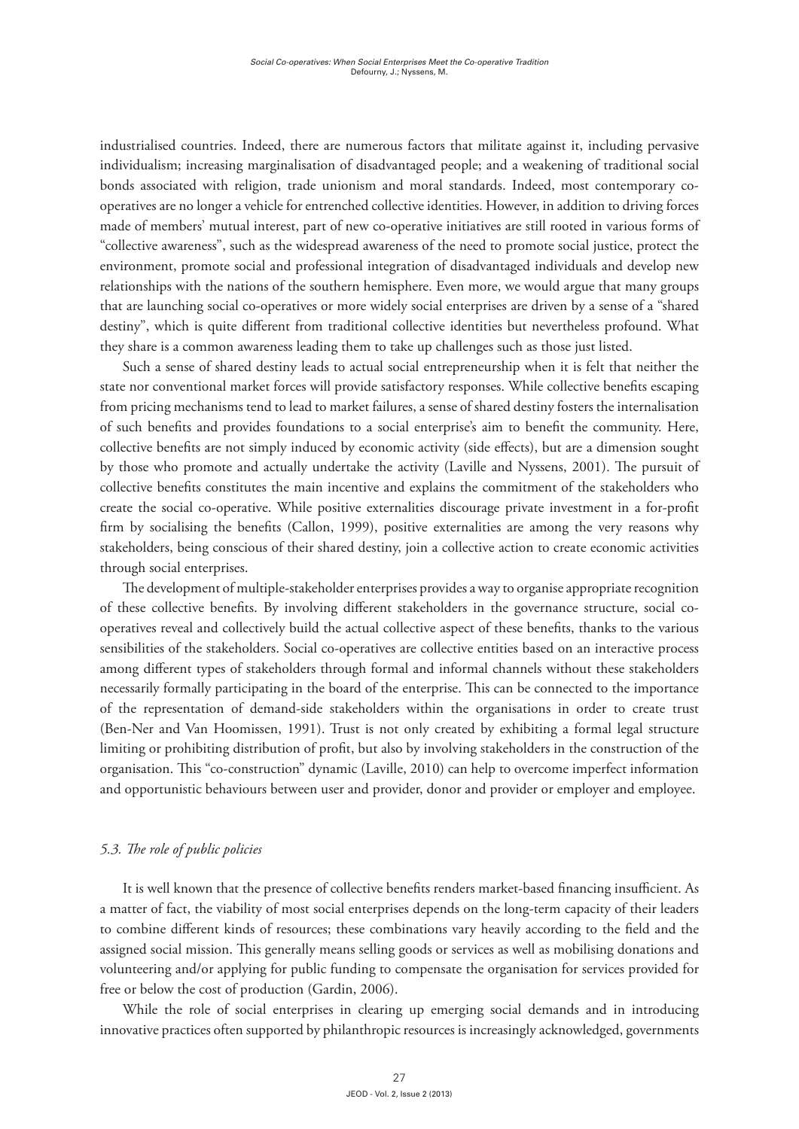industrialised countries. Indeed, there are numerous factors that militate against it, including pervasive individualism; increasing marginalisation of disadvantaged people; and a weakening of traditional social bonds associated with religion, trade unionism and moral standards. Indeed, most contemporary cooperatives are no longer a vehicle for entrenched collective identities. However, in addition to driving forces made of members' mutual interest, part of new co-operative initiatives are still rooted in various forms of "collective awareness", such as the widespread awareness of the need to promote social justice, protect the environment, promote social and professional integration of disadvantaged individuals and develop new relationships with the nations of the southern hemisphere. Even more, we would argue that many groups that are launching social co-operatives or more widely social enterprises are driven by a sense of a "shared destiny", which is quite different from traditional collective identities but nevertheless profound. What they share is a common awareness leading them to take up challenges such as those just listed.

Such a sense of shared destiny leads to actual social entrepreneurship when it is felt that neither the state nor conventional market forces will provide satisfactory responses. While collective benefits escaping from pricing mechanisms tend to lead to market failures, a sense of shared destiny fosters the internalisation of such benefits and provides foundations to a social enterprise's aim to benefit the community. Here, collective benefits are not simply induced by economic activity (side effects), but are a dimension sought by those who promote and actually undertake the activity (Laville and Nyssens, 2001). The pursuit of collective benefits constitutes the main incentive and explains the commitment of the stakeholders who create the social co-operative. While positive externalities discourage private investment in a for-profit firm by socialising the benefits (Callon, 1999), positive externalities are among the very reasons why stakeholders, being conscious of their shared destiny, join a collective action to create economic activities through social enterprises.

The development of multiple-stakeholder enterprises provides a way to organise appropriate recognition of these collective benefits. By involving different stakeholders in the governance structure, social cooperatives reveal and collectively build the actual collective aspect of these benefits, thanks to the various sensibilities of the stakeholders. Social co-operatives are collective entities based on an interactive process among different types of stakeholders through formal and informal channels without these stakeholders necessarily formally participating in the board of the enterprise. This can be connected to the importance of the representation of demand-side stakeholders within the organisations in order to create trust (Ben-Ner and Van Hoomissen, 1991). Trust is not only created by exhibiting a formal legal structure limiting or prohibiting distribution of profit, but also by involving stakeholders in the construction of the organisation. This "co-construction" dynamic (Laville, 2010) can help to overcome imperfect information and opportunistic behaviours between user and provider, donor and provider or employer and employee.

# *5.3. The role of public policies*

It is well known that the presence of collective benefits renders market-based financing insufficient. As a matter of fact, the viability of most social enterprises depends on the long-term capacity of their leaders to combine different kinds of resources; these combinations vary heavily according to the field and the assigned social mission. This generally means selling goods or services as well as mobilising donations and volunteering and/or applying for public funding to compensate the organisation for services provided for free or below the cost of production (Gardin, 2006).

While the role of social enterprises in clearing up emerging social demands and in introducing innovative practices often supported by philanthropic resources is increasingly acknowledged, governments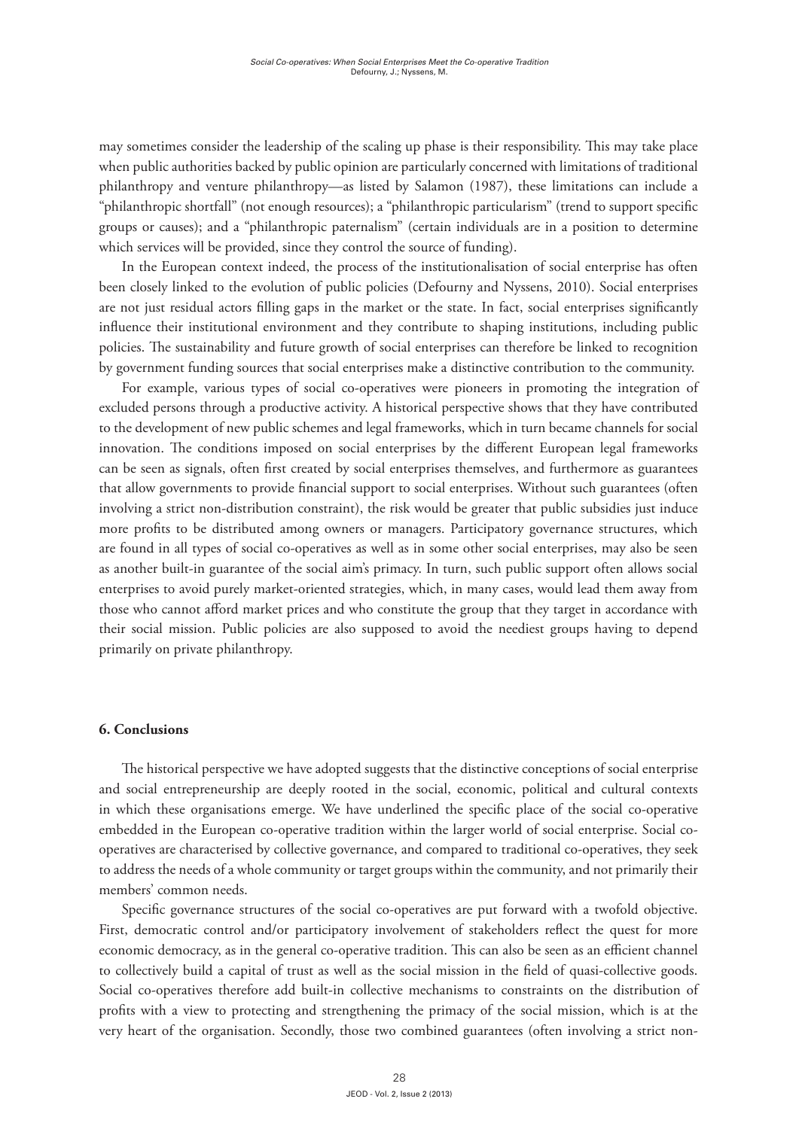may sometimes consider the leadership of the scaling up phase is their responsibility. This may take place when public authorities backed by public opinion are particularly concerned with limitations of traditional philanthropy and venture philanthropy—as listed by Salamon (1987), these limitations can include a "philanthropic shortfall" (not enough resources); a "philanthropic particularism" (trend to support specific groups or causes); and a "philanthropic paternalism" (certain individuals are in a position to determine which services will be provided, since they control the source of funding).

In the European context indeed, the process of the institutionalisation of social enterprise has often been closely linked to the evolution of public policies (Defourny and Nyssens, 2010). Social enterprises are not just residual actors filling gaps in the market or the state. In fact, social enterprises significantly influence their institutional environment and they contribute to shaping institutions, including public policies. The sustainability and future growth of social enterprises can therefore be linked to recognition by government funding sources that social enterprises make a distinctive contribution to the community.

For example, various types of social co-operatives were pioneers in promoting the integration of excluded persons through a productive activity. A historical perspective shows that they have contributed to the development of new public schemes and legal frameworks, which in turn became channels for social innovation. The conditions imposed on social enterprises by the different European legal frameworks can be seen as signals, often first created by social enterprises themselves, and furthermore as guarantees that allow governments to provide financial support to social enterprises. Without such guarantees (often involving a strict non-distribution constraint), the risk would be greater that public subsidies just induce more profits to be distributed among owners or managers. Participatory governance structures, which are found in all types of social co-operatives as well as in some other social enterprises, may also be seen as another built-in guarantee of the social aim's primacy. In turn, such public support often allows social enterprises to avoid purely market-oriented strategies, which, in many cases, would lead them away from those who cannot afford market prices and who constitute the group that they target in accordance with their social mission. Public policies are also supposed to avoid the neediest groups having to depend primarily on private philanthropy.

#### **6. Conclusions**

The historical perspective we have adopted suggests that the distinctive conceptions of social enterprise and social entrepreneurship are deeply rooted in the social, economic, political and cultural contexts in which these organisations emerge. We have underlined the specific place of the social co-operative embedded in the European co-operative tradition within the larger world of social enterprise. Social cooperatives are characterised by collective governance, and compared to traditional co-operatives, they seek to address the needs of a whole community or target groups within the community, and not primarily their members' common needs.

Specific governance structures of the social co-operatives are put forward with a twofold objective. First, democratic control and/or participatory involvement of stakeholders reflect the quest for more economic democracy, as in the general co-operative tradition. This can also be seen as an efficient channel to collectively build a capital of trust as well as the social mission in the field of quasi-collective goods. Social co-operatives therefore add built-in collective mechanisms to constraints on the distribution of profits with a view to protecting and strengthening the primacy of the social mission, which is at the very heart of the organisation. Secondly, those two combined guarantees (often involving a strict non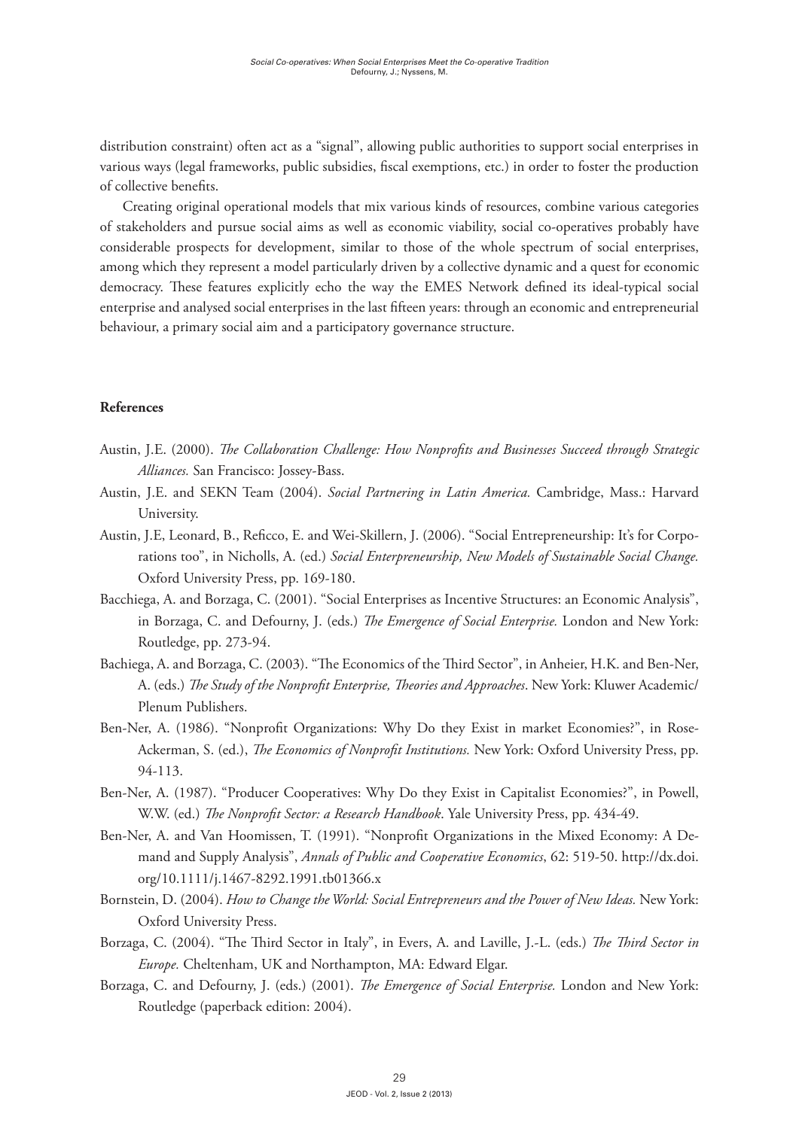distribution constraint) often act as a "signal", allowing public authorities to support social enterprises in various ways (legal frameworks, public subsidies, fiscal exemptions, etc.) in order to foster the production of collective benefits.

Creating original operational models that mix various kinds of resources, combine various categories of stakeholders and pursue social aims as well as economic viability, social co-operatives probably have considerable prospects for development, similar to those of the whole spectrum of social enterprises, among which they represent a model particularly driven by a collective dynamic and a quest for economic democracy. These features explicitly echo the way the EMES Network defined its ideal-typical social enterprise and analysed social enterprises in the last fifteen years: through an economic and entrepreneurial behaviour, a primary social aim and a participatory governance structure.

# **References**

- Austin, J.E. (2000). *The Collaboration Challenge: How Nonprofits and Businesses Succeed through Strategic Alliances.* San Francisco: Jossey-Bass.
- Austin, J.E. and SEKN Team (2004). *Social Partnering in Latin America.* Cambridge, Mass.: Harvard University.
- Austin, J.E, Leonard, B., Reficco, E. and Wei-Skillern, J. (2006). "Social Entrepreneurship: It's for Corporations too", in Nicholls, A. (ed.) *Social Enterpreneurship, New Models of Sustainable Social Change.* Oxford University Press, pp. 169-180.
- Bacchiega, A. and Borzaga, C. (2001). "Social Enterprises as Incentive Structures: an Economic Analysis", in Borzaga, C. and Defourny, J. (eds.) *The Emergence of Social Enterprise.* London and New York: Routledge, pp. 273-94.
- Bachiega, A. and Borzaga, C. (2003). "The Economics of the Third Sector", in Anheier, H.K. and Ben-Ner, A. (eds.) *The Study of the Nonprofit Enterprise, Theories and Approaches*. New York: Kluwer Academic/ Plenum Publishers.
- Ben-Ner, A. (1986). "Nonprofit Organizations: Why Do they Exist in market Economies?", in Rose-Ackerman, S. (ed.), *The Economics of Nonprofit Institutions.* New York: Oxford University Press, pp. 94-113.
- Ben-Ner, A. (1987). "Producer Cooperatives: Why Do they Exist in Capitalist Economies?", in Powell, W.W. (ed.) *The Nonprofit Sector: a Research Handbook*. Yale University Press, pp. 434-49.
- Ben-Ner, A. and Van Hoomissen, T. (1991). "Nonprofit Organizations in the Mixed Economy: A Demand and Supply Analysis", *Annals of Public and Cooperative Economics*, 62: 519-50. http://dx.doi. org/10.1111/j.1467-8292.1991.tb01366.x
- Bornstein, D. (2004). *How to Change the World: Social Entrepreneurs and the Power of New Ideas.* New York: Oxford University Press.
- Borzaga, C. (2004). "The Third Sector in Italy", in Evers, A. and Laville, J.-L. (eds.) *The Third Sector in Europe.* Cheltenham, UK and Northampton, MA: Edward Elgar.
- Borzaga, C. and Defourny, J. (eds.) (2001). *The Emergence of Social Enterprise.* London and New York: Routledge (paperback edition: 2004).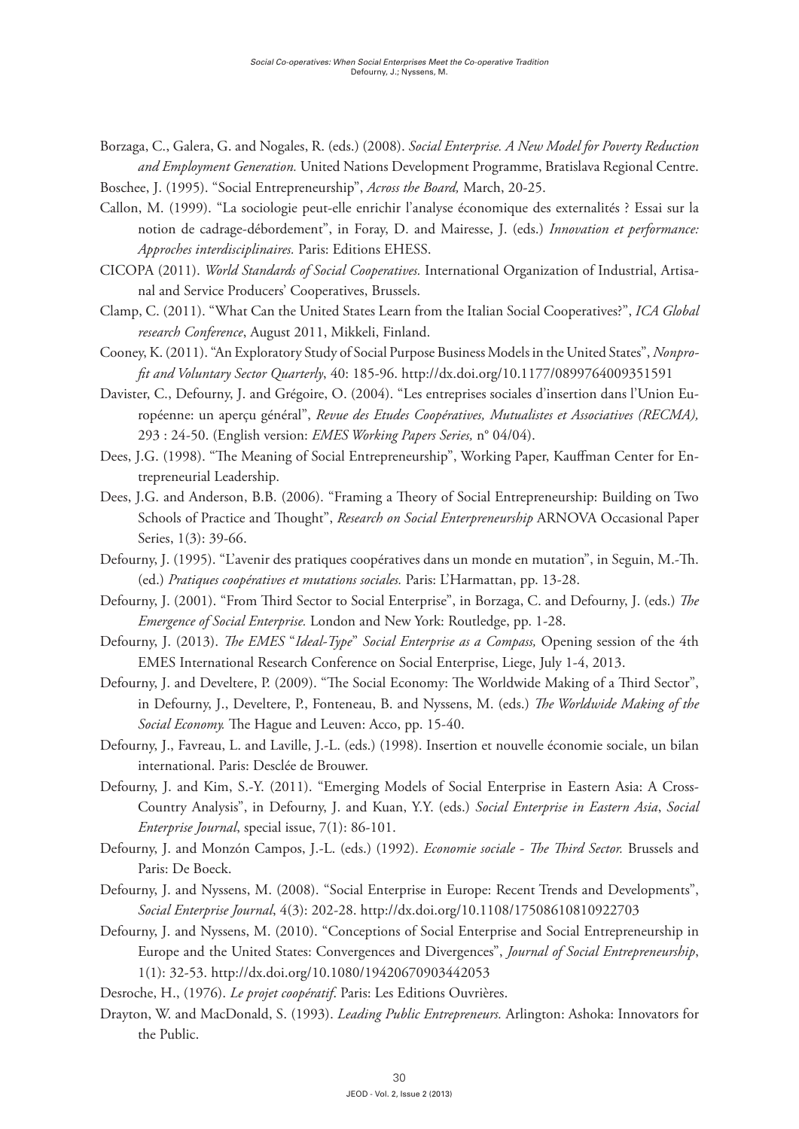Borzaga, C., Galera, G. and Nogales, R. (eds.) (2008). *Social Enterprise. A New Model for Poverty Reduction and Employment Generation.* United Nations Development Programme, Bratislava Regional Centre.

Boschee, J. (1995). "Social Entrepreneurship", *Across the Board,* March, 20-25.

- Callon, M. (1999). "La sociologie peut-elle enrichir l'analyse économique des externalités ? Essai sur la notion de cadrage-débordement", in Foray, D. and Mairesse, J. (eds.) *Innovation et performance: Approches interdisciplinaires.* Paris: Editions EHESS.
- CICOPA (2011). *World Standards of Social Cooperatives.* International Organization of Industrial, Artisanal and Service Producers' Cooperatives, Brussels.
- Clamp, C. (2011). "What Can the United States Learn from the Italian Social Cooperatives?", *ICA Global research Conference*, August 2011, Mikkeli, Finland.
- Cooney, K. (2011). "An Exploratory Study of Social Purpose Business Models in the United States", *Nonprofit and Voluntary Sector Quarterly*, 40: 185-96. http://dx.doi.org/10.1177/0899764009351591
- Davister, C., Defourny, J. and Grégoire, O. (2004). "Les entreprises sociales d'insertion dans l'Union Européenne: un aperçu général", *Revue des Etudes Coopératives, Mutualistes et Associatives (RECMA),*  293 : 24-50. (English version: *EMES Working Papers Series,* n° 04/04).
- Dees, J.G. (1998). "The Meaning of Social Entrepreneurship", Working Paper, Kauffman Center for Entrepreneurial Leadership.
- Dees, J.G. and Anderson, B.B. (2006). "Framing a Theory of Social Entrepreneurship: Building on Two Schools of Practice and Thought", *Research on Social Enterpreneurship* ARNOVA Occasional Paper Series, 1(3): 39-66.
- Defourny, J. (1995). "L'avenir des pratiques coopératives dans un monde en mutation", in Seguin, M.-Th. (ed.) *Pratiques coopératives et mutations sociales.* Paris: L'Harmattan, pp. 13-28.
- Defourny, J. (2001). "From Third Sector to Social Enterprise", in Borzaga, C. and Defourny, J. (eds.) *The Emergence of Social Enterprise.* London and New York: Routledge, pp. 1-28.
- Defourny, J. (2013). *The EMES* "*Ideal-Type*" *Social Enterprise as a Compass,* Opening session of the 4th EMES International Research Conference on Social Enterprise, Liege, July 1-4, 2013.
- Defourny, J. and Develtere, P. (2009). "The Social Economy: The Worldwide Making of a Third Sector", in Defourny, J., Develtere, P., Fonteneau, B. and Nyssens, M. (eds.) *The Worldwide Making of the Social Economy.* The Hague and Leuven: Acco, pp. 15-40.
- Defourny, J., Favreau, L. and Laville, J.-L. (eds.) (1998). Insertion et nouvelle économie sociale, un bilan international. Paris: Desclée de Brouwer.
- Defourny, J. and Kim, S.-Y. (2011). "Emerging Models of Social Enterprise in Eastern Asia: A Cross-Country Analysis", in Defourny, J. and Kuan, Y.Y. (eds.) *Social Enterprise in Eastern Asia*, *Social Enterprise Journal*, special issue, 7(1): 86-101.
- Defourny, J. and Monzón Campos, J.-L. (eds.) (1992). *Economie sociale The Third Sector.* Brussels and Paris: De Boeck.
- Defourny, J. and Nyssens, M. (2008). "Social Enterprise in Europe: Recent Trends and Developments", *Social Enterprise Journal*, 4(3): 202-28. http://dx.doi.org/10.1108/17508610810922703
- Defourny, J. and Nyssens, M. (2010). "Conceptions of Social Enterprise and Social Entrepreneurship in Europe and the United States: Convergences and Divergences", *Journal of Social Entrepreneurship*, 1(1): 32-53. http://dx.doi.org/10.1080/19420670903442053
- Desroche, H., (1976). *Le projet coopératif*. Paris: Les Editions Ouvrières.
- Drayton, W. and MacDonald, S. (1993). *Leading Public Entrepreneurs.* Arlington: Ashoka: Innovators for the Public.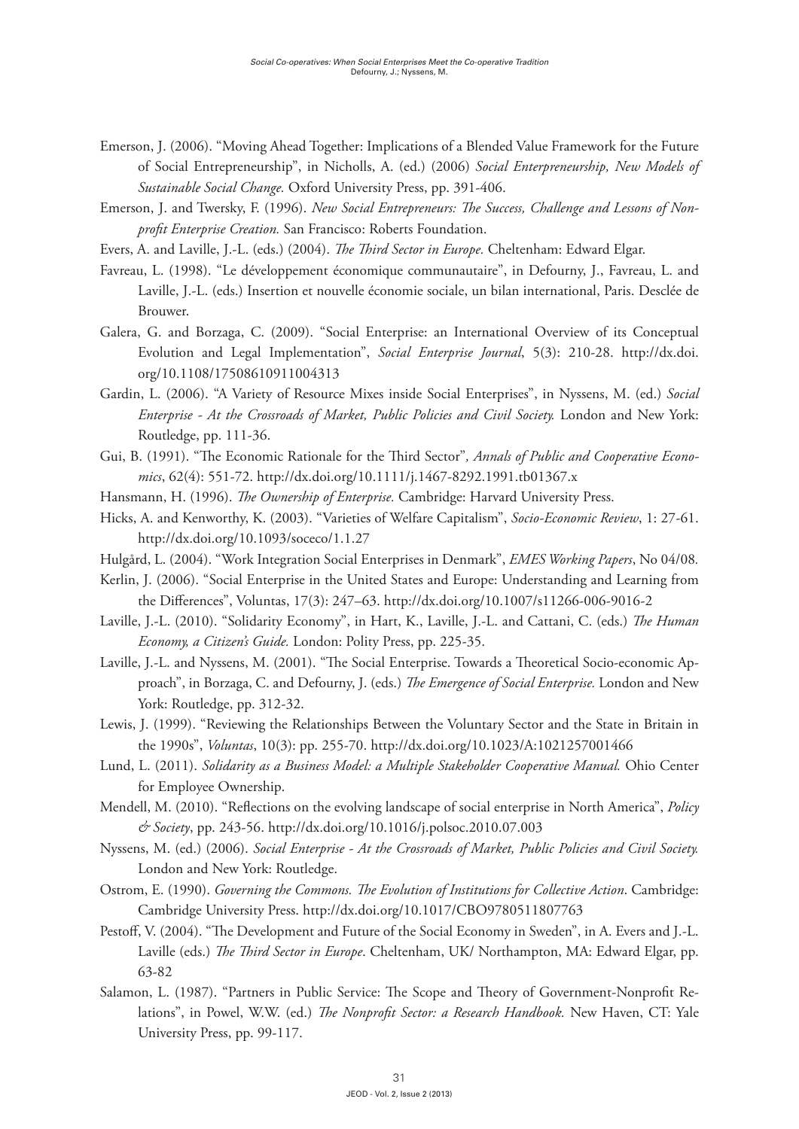- Emerson, J. (2006). "Moving Ahead Together: Implications of a Blended Value Framework for the Future of Social Entrepreneurship", in Nicholls, A. (ed.) (2006) *Social Enterpreneurship, New Models of Sustainable Social Change.* Oxford University Press, pp. 391-406.
- Emerson, J. and Twersky, F. (1996). *New Social Entrepreneurs: The Success, Challenge and Lessons of Nonprofit Enterprise Creation.* San Francisco: Roberts Foundation.
- Evers, A. and Laville, J.-L. (eds.) (2004). *The Third Sector in Europe.* Cheltenham: Edward Elgar.
- Favreau, L. (1998). "Le développement économique communautaire", in Defourny, J., Favreau, L. and Laville, J.-L. (eds.) Insertion et nouvelle économie sociale, un bilan international, Paris. Desclée de Brouwer.
- Galera, G. and Borzaga, C. (2009). "Social Enterprise: an International Overview of its Conceptual Evolution and Legal Implementation", *Social Enterprise Journal*, 5(3): 210-28. http://dx.doi. org/10.1108/17508610911004313
- Gardin, L. (2006). "A Variety of Resource Mixes inside Social Enterprises", in Nyssens, M. (ed.) *Social Enterprise - At the Crossroads of Market, Public Policies and Civil Society.* London and New York: Routledge, pp. 111-36.
- Gui, B. (1991). "The Economic Rationale for the Third Sector"*, Annals of Public and Cooperative Economics*, 62(4): 551-72. http://dx.doi.org/10.1111/j.1467-8292.1991.tb01367.x
- Hansmann, H. (1996). *The Ownership of Enterprise.* Cambridge: Harvard University Press.
- Hicks, A. and Kenworthy, K. (2003). "Varieties of Welfare Capitalism", *Socio-Economic Review*, 1: 27-61. http://dx.doi.org/10.1093/soceco/1.1.27
- Hulgård, L. (2004). "Work Integration Social Enterprises in Denmark", *EMES Working Papers*, No 04/08*.*
- Kerlin, J. (2006). "Social Enterprise in the United States and Europe: Understanding and Learning from the Differences", Voluntas, 17(3): 247–63. http://dx.doi.org/10.1007/s11266-006-9016-2
- Laville, J.-L. (2010). "Solidarity Economy", in Hart, K., Laville, J.-L. and Cattani, C. (eds.) *The Human Economy, a Citizen's Guide.* London: Polity Press, pp. 225-35.
- Laville, J.-L. and Nyssens, M. (2001). "The Social Enterprise. Towards a Theoretical Socio-economic Approach", in Borzaga, C. and Defourny, J. (eds.) *The Emergence of Social Enterprise.* London and New York: Routledge, pp. 312-32.
- Lewis, J. (1999). "Reviewing the Relationships Between the Voluntary Sector and the State in Britain in the 1990s", *Voluntas*, 10(3): pp. 255-70. http://dx.doi.org/10.1023/A:1021257001466
- Lund, L. (2011). *Solidarity as a Business Model: a Multiple Stakeholder Cooperative Manual.* Ohio Center for Employee Ownership.
- Mendell, M. (2010). "Reflections on the evolving landscape of social enterprise in North America", *Policy & Society*, pp. 243-56. http://dx.doi.org/10.1016/j.polsoc.2010.07.003
- Nyssens, M. (ed.) (2006). *Social Enterprise At the Crossroads of Market, Public Policies and Civil Society.* London and New York: Routledge.
- Ostrom, E. (1990). *Governing the Commons. The Evolution of Institutions for Collective Action*. Cambridge: Cambridge University Press. http://dx.doi.org/10.1017/CBO9780511807763
- Pestoff, V. (2004). "The Development and Future of the Social Economy in Sweden", in A. Evers and J.-L. Laville (eds.) *The Third Sector in Europe*. Cheltenham, UK/ Northampton, MA: Edward Elgar, pp. 63-82
- Salamon, L. (1987). "Partners in Public Service: The Scope and Theory of Government-Nonprofit Relations", in Powel, W.W. (ed.) *The Nonprofit Sector: a Research Handbook.* New Haven, CT: Yale University Press, pp. 99-117.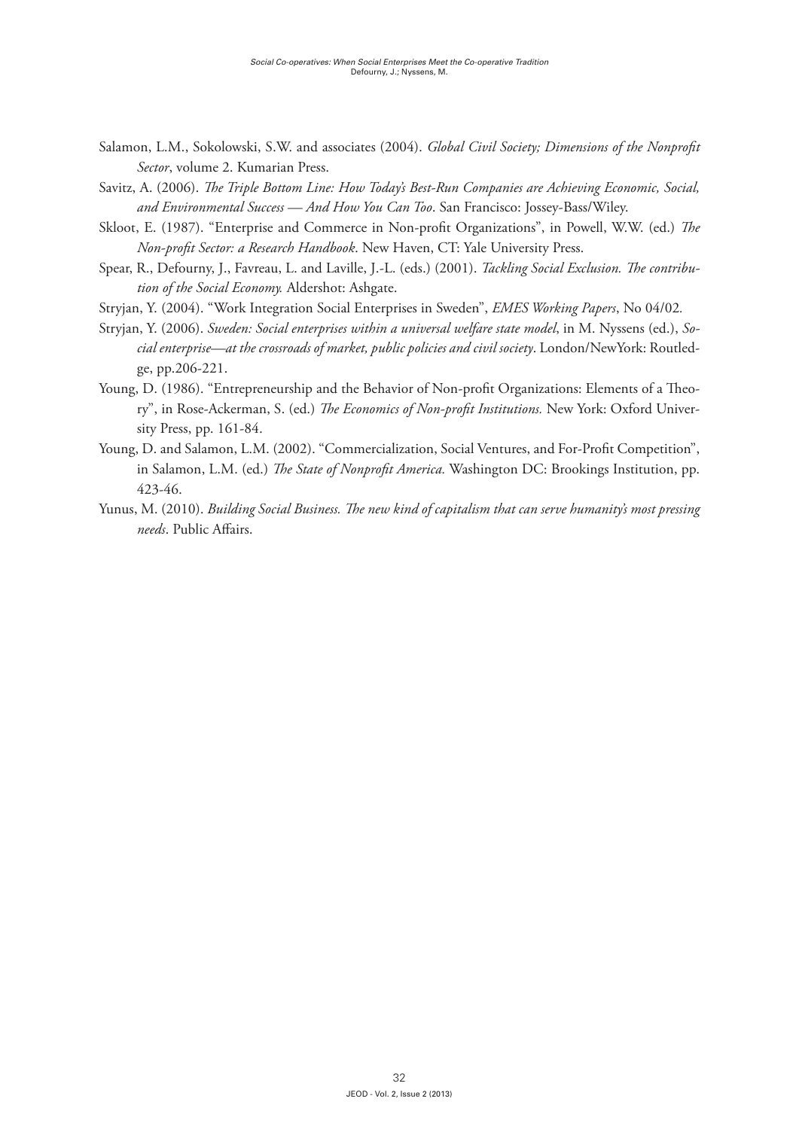- Salamon, L.M., Sokolowski, S.W. and associates (2004). *Global Civil Society; Dimensions of the Nonprofit Sector*, volume 2. Kumarian Press.
- Savitz, A. (2006). *The Triple Bottom Line: How Today's Best-Run Companies are Achieving Economic, Social, and Environmental Success — And How You Can Too*. San Francisco: Jossey-Bass/Wiley.
- Skloot, E. (1987). "Enterprise and Commerce in Non-profit Organizations", in Powell, W.W. (ed.) *The Non-profit Sector: a Research Handbook*. New Haven, CT: Yale University Press.
- Spear, R., Defourny, J., Favreau, L. and Laville, J.-L. (eds.) (2001). *Tackling Social Exclusion. The contribution of the Social Economy.* Aldershot: Ashgate.
- Stryjan, Y. (2004). "Work Integration Social Enterprises in Sweden", *EMES Working Papers*, No 04/02*.*
- Stryjan, Y. (2006). *Sweden: Social enterprises within a universal welfare state model*, in M. Nyssens (ed.), *Social enterprise—at the crossroads of market, public policies and civil society*. London/NewYork: Routledge, pp.206-221.
- Young, D. (1986). "Entrepreneurship and the Behavior of Non-profit Organizations: Elements of a Theory", in Rose-Ackerman, S. (ed.) *The Economics of Non-profit Institutions.* New York: Oxford University Press, pp. 161-84.
- Young, D. and Salamon, L.M. (2002). "Commercialization, Social Ventures, and For-Profit Competition", in Salamon, L.M. (ed.) *The State of Nonprofit America.* Washington DC: Brookings Institution, pp. 423-46.
- Yunus, M. (2010). *Building Social Business. The new kind of capitalism that can serve humanity's most pressing needs*. Public Affairs.